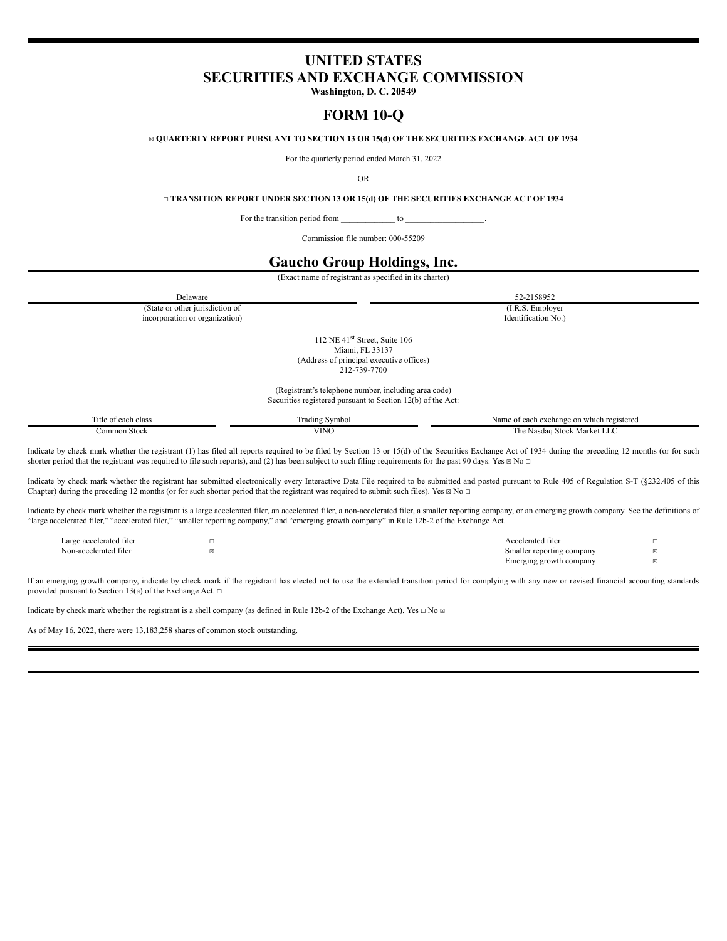# **UNITED STATES SECURITIES AND EXCHANGE COMMISSION**

**Washington, D. C. 20549**

# **FORM 10-Q**

## ☒ **QUARTERLY REPORT PURSUANT TO SECTION 13 OR 15(d) OF THE SECURITIES EXCHANGE ACT OF 1934**

For the quarterly period ended March 31, 2022

OR

## ☐ **TRANSITION REPORT UNDER SECTION 13 OR 15(d) OF THE SECURITIES EXCHANGE ACT OF 1934**

For the transition period from to  $\sim$ 

Commission file number: 000-55209

# **Gaucho Group Holdings, Inc.**

(Exact name of registrant as specified in its charter)

| Delaware                                                                                                                 | 52-2158952                              |  |  |  |
|--------------------------------------------------------------------------------------------------------------------------|-----------------------------------------|--|--|--|
| (State or other jurisdiction of<br>incorporation or organization)                                                        | (I.R.S. Employer<br>Identification No.) |  |  |  |
| 112 NE 41 <sup>st</sup> Street, Suite 106<br>Miami, FL 33137<br>(Address of principal executive offices)<br>212-739-7700 |                                         |  |  |  |
| (Registrant's telephone number, including area code)<br>Securities registered pursuant to Section 12(b) of the Act:      |                                         |  |  |  |

| itle of<br>ach class | radıng<br>Symbo | registered<br>Name<br>exchange on which *<br>nt each.<br><b>COLI</b> |
|----------------------|-----------------|----------------------------------------------------------------------|
| 'ommon Stock         | <b>VINC</b>     | Market<br>i Stock-<br>Nasdau<br>د سر<br>. <u>.</u>                   |

Indicate by check mark whether the registrant (1) has filed all reports required to be filed by Section 13 or 15(d) of the Securities Exchange Act of 1934 during the preceding 12 months (or for such shorter period that the registrant was required to file such reports), and (2) has been subject to such filing requirements for the past 90 days. Yes  $\boxtimes$  No  $\Box$ 

Indicate by check mark whether the registrant has submitted electronically every Interactive Data File required to be submitted and posted pursuant to Rule 405 of Regulation S-T (§232.405 of this Chapter) during the preceding 12 months (or for such shorter period that the registrant was required to submit such files). Yes ⊠ No  $□$ 

Indicate by check mark whether the registrant is a large accelerated filer, an accelerated filer, a non-accelerated filer, a smaller reporting company, or an emerging growth company. See the definitions of "large accelerated filer," "accelerated filer," "smaller reporting company," and "emerging growth company" in Rule 12b-2 of the Exchange Act.

| Large accelerated filer | Accelerated filer         |  |
|-------------------------|---------------------------|--|
| Non-accelerated filer   | Smaller reporting company |  |
|                         | Emerging growth company   |  |

If an emerging growth company, indicate by check mark if the registrant has elected not to use the extended transition period for complying with any new or revised financial accounting standards provided pursuant to Section 13(a) of the Exchange Act.  $□$ 

Indicate by check mark whether the registrant is a shell company (as defined in Rule 12b-2 of the Exchange Act). Yes  $\Box$  No  $\Box$ 

As of May 16, 2022, there were 13,183,258 shares of common stock outstanding.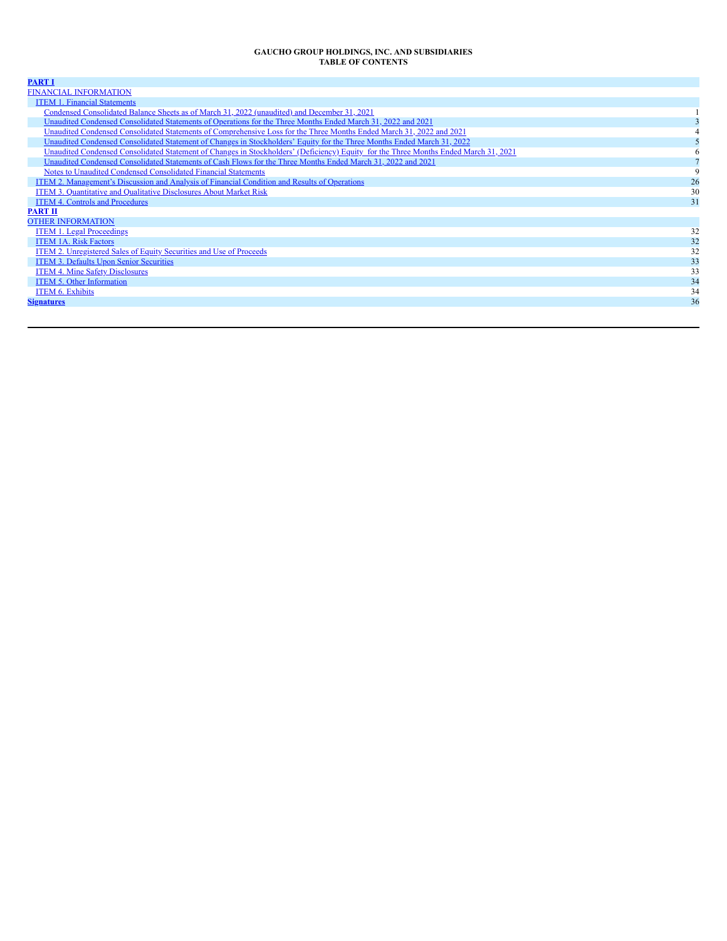#### **GAUCHO GROUP HOLDINGS, INC. AND SUBSIDIARIES TABLE OF CONTENTS**

| <b>PART I</b>                                                                                                                        |    |
|--------------------------------------------------------------------------------------------------------------------------------------|----|
| <b>FINANCIAL INFORMATION</b>                                                                                                         |    |
| <b>ITEM 1. Financial Statements</b>                                                                                                  |    |
| Condensed Consolidated Balance Sheets as of March 31, 2022 (unaudited) and December 31, 2021                                         |    |
| Unaudited Condensed Consolidated Statements of Operations for the Three Months Ended March 31, 2022 and 2021                         |    |
| Unaudited Condensed Consolidated Statements of Comprehensive Loss for the Three Months Ended March 31, 2022 and 2021                 |    |
| Unaudited Condensed Consolidated Statement of Changes in Stockholders' Equity for the Three Months Ended March 31, 2022              |    |
| Unaudited Condensed Consolidated Statement of Changes in Stockholders' (Deficiency) Equity for the Three Months Ended March 31, 2021 |    |
| Unaudited Condensed Consolidated Statements of Cash Flows for the Three Months Ended March 31, 2022 and 2021                         |    |
| Notes to Unaudited Condensed Consolidated Financial Statements                                                                       | q  |
| <u>ITEM 2. Management's Discussion and Analysis of Financial Condition and Results of Operations</u>                                 | 26 |
| ITEM 3. Quantitative and Qualitative Disclosures About Market Risk                                                                   | 30 |
| <b>ITEM 4. Controls and Procedures</b>                                                                                               | 31 |
| <b>PART II</b>                                                                                                                       |    |
| <b>OTHER INFORMATION</b>                                                                                                             |    |
| <b>ITEM 1. Legal Proceedings</b>                                                                                                     | 32 |
| <b>ITEM 1A. Risk Factors</b>                                                                                                         | 32 |
| <b>ITEM 2. Unregistered Sales of Equity Securities and Use of Proceeds</b>                                                           | 32 |
| <b>ITEM 3. Defaults Upon Senior Securities</b>                                                                                       | 33 |
| <b>ITEM 4. Mine Safety Disclosures</b>                                                                                               | 33 |
| <b>ITEM 5. Other Information</b>                                                                                                     | 34 |
| <b>ITEM 6. Exhibits</b>                                                                                                              | 34 |
| <b>Signatures</b>                                                                                                                    | 36 |
|                                                                                                                                      |    |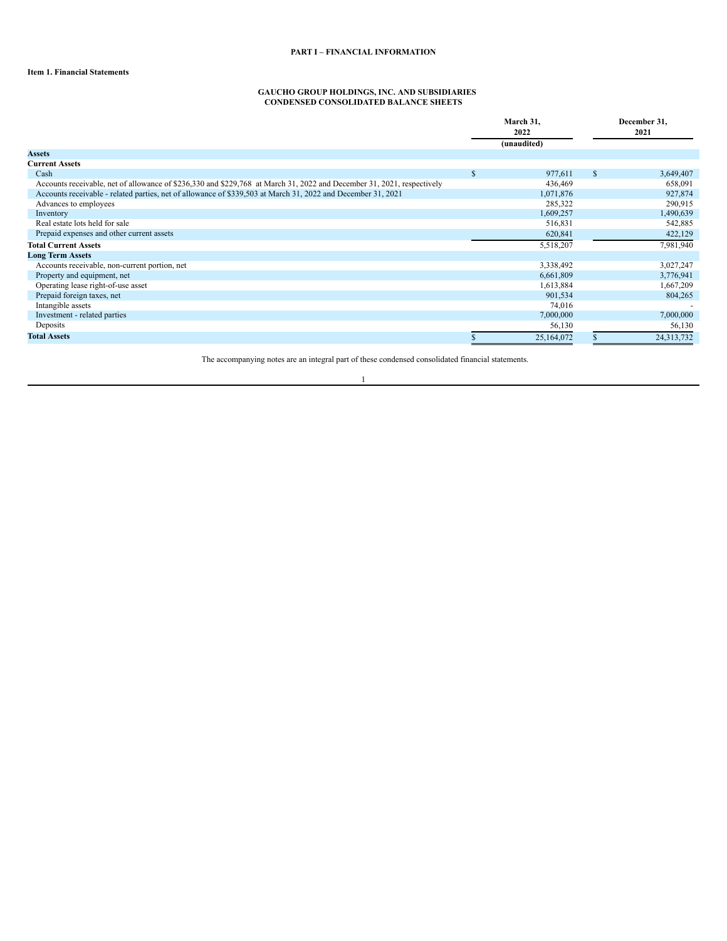## **PART I – FINANCIAL INFORMATION**

## **GAUCHO GROUP HOLDINGS, INC. AND SUBSIDIARIES CONDENSED CONSOLIDATED BALANCE SHEETS**

<span id="page-2-2"></span><span id="page-2-1"></span><span id="page-2-0"></span>

|                                                                                                                        | March 31,<br>2022 |             |             | December 31,<br>2021 |
|------------------------------------------------------------------------------------------------------------------------|-------------------|-------------|-------------|----------------------|
|                                                                                                                        |                   | (unaudited) |             |                      |
| <b>Assets</b>                                                                                                          |                   |             |             |                      |
| <b>Current Assets</b>                                                                                                  |                   |             |             |                      |
| Cash                                                                                                                   | \$                | 977,611     | $\mathbf S$ | 3,649,407            |
| Accounts receivable, net of allowance of \$236,330 and \$229,768 at March 31, 2022 and December 31, 2021, respectively |                   | 436,469     |             | 658,091              |
| Accounts receivable - related parties, net of allowance of \$339,503 at March 31, 2022 and December 31, 2021           |                   | 1,071,876   |             | 927,874              |
| Advances to employees                                                                                                  |                   | 285,322     |             | 290,915              |
| Inventory                                                                                                              |                   | 1,609,257   |             | 1,490,639            |
| Real estate lots held for sale                                                                                         |                   | 516,831     |             | 542,885              |
| Prepaid expenses and other current assets                                                                              |                   | 620,841     |             | 422,129              |
| <b>Total Current Assets</b>                                                                                            |                   | 5,518,207   |             | 7,981,940            |
| <b>Long Term Assets</b>                                                                                                |                   |             |             |                      |
| Accounts receivable, non-current portion, net                                                                          |                   | 3,338,492   |             | 3,027,247            |
| Property and equipment, net                                                                                            |                   | 6,661,809   |             | 3,776,941            |
| Operating lease right-of-use asset                                                                                     |                   | 1,613,884   |             | 1,667,209            |
| Prepaid foreign taxes, net                                                                                             |                   | 901,534     |             | 804,265              |
| Intangible assets                                                                                                      |                   | 74,016      |             |                      |
| Investment - related parties                                                                                           |                   | 7,000,000   |             | 7,000,000            |
| Deposits                                                                                                               |                   | 56,130      |             | 56,130               |
| <b>Total Assets</b>                                                                                                    |                   | 25,164,072  |             | 24, 313, 732         |

The accompanying notes are an integral part of these condensed consolidated financial statements.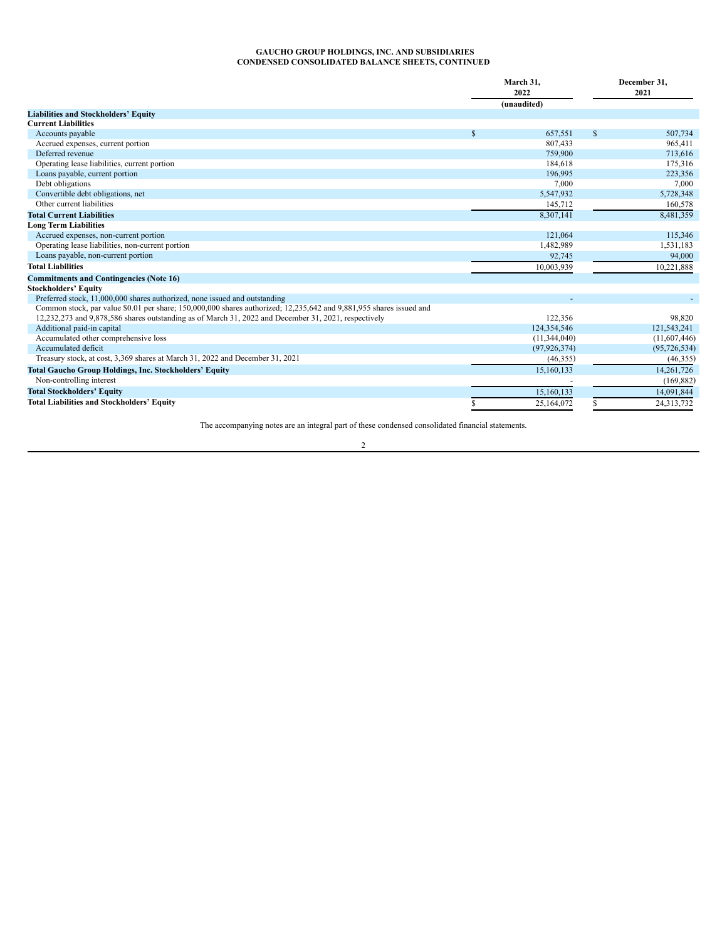### **GAUCHO GROUP HOLDINGS, INC. AND SUBSIDIARIES CONDENSED CONSOLIDATED BALANCE SHEETS, CONTINUED**

|                                                                                                                     |     | March 31,<br>2022 | December 31.<br>2021 |  |  |
|---------------------------------------------------------------------------------------------------------------------|-----|-------------------|----------------------|--|--|
|                                                                                                                     |     | (unaudited)       |                      |  |  |
| <b>Liabilities and Stockholders' Equity</b>                                                                         |     |                   |                      |  |  |
| <b>Current Liabilities</b>                                                                                          |     |                   |                      |  |  |
| Accounts payable                                                                                                    | \$. | 657,551           | \$<br>507,734        |  |  |
| Accrued expenses, current portion                                                                                   |     | 807,433           | 965,411              |  |  |
| Deferred revenue                                                                                                    |     | 759,900           | 713,616              |  |  |
| Operating lease liabilities, current portion                                                                        |     | 184,618           | 175,316              |  |  |
| Loans payable, current portion                                                                                      |     | 196,995           | 223,356              |  |  |
| Debt obligations                                                                                                    |     | 7,000             | 7,000                |  |  |
| Convertible debt obligations, net                                                                                   |     | 5,547,932         | 5,728,348            |  |  |
| Other current liabilities                                                                                           |     | 145,712           | 160,578              |  |  |
| <b>Total Current Liabilities</b>                                                                                    |     | 8,307,141         | 8.481.359            |  |  |
| <b>Long Term Liabilities</b>                                                                                        |     |                   |                      |  |  |
| Accrued expenses, non-current portion                                                                               |     | 121,064           | 115,346              |  |  |
| Operating lease liabilities, non-current portion                                                                    |     | 1,482,989         | 1,531,183            |  |  |
| Loans payable, non-current portion                                                                                  |     | 92,745            | 94.000               |  |  |
| <b>Total Liabilities</b>                                                                                            |     | 10,003,939        | 10,221,888           |  |  |
| <b>Commitments and Contingencies (Note 16)</b>                                                                      |     |                   |                      |  |  |
| <b>Stockholders' Equity</b>                                                                                         |     |                   |                      |  |  |
| Preferred stock, 11,000,000 shares authorized, none issued and outstanding                                          |     |                   |                      |  |  |
| Common stock, par value \$0.01 per share; 150,000,000 shares authorized; 12,235,642 and 9,881,955 shares issued and |     |                   |                      |  |  |
| 12,232,273 and 9,878,586 shares outstanding as of March 31, 2022 and December 31, 2021, respectively                |     | 122.356           | 98.820               |  |  |
| Additional paid-in capital                                                                                          |     | 124.354.546       | 121,543,241          |  |  |
| Accumulated other comprehensive loss                                                                                |     | (11,344,040)      | (11,607,446)         |  |  |
| Accumulated deficit                                                                                                 |     | (97, 926, 374)    | (95, 726, 534)       |  |  |
| Treasury stock, at cost, 3,369 shares at March 31, 2022 and December 31, 2021                                       |     | (46, 355)         | (46, 355)            |  |  |
| <b>Total Gaucho Group Holdings, Inc. Stockholders' Equity</b>                                                       |     | 15,160,133        | 14,261,726           |  |  |
| Non-controlling interest                                                                                            |     |                   | (169, 882)           |  |  |
| <b>Total Stockholders' Equity</b>                                                                                   |     | 15,160,133        | 14,091,844           |  |  |
| <b>Total Liabilities and Stockholders' Equity</b>                                                                   |     | 25,164,072        | 24,313,732           |  |  |

The accompanying notes are an integral part of these condensed consolidated financial statements.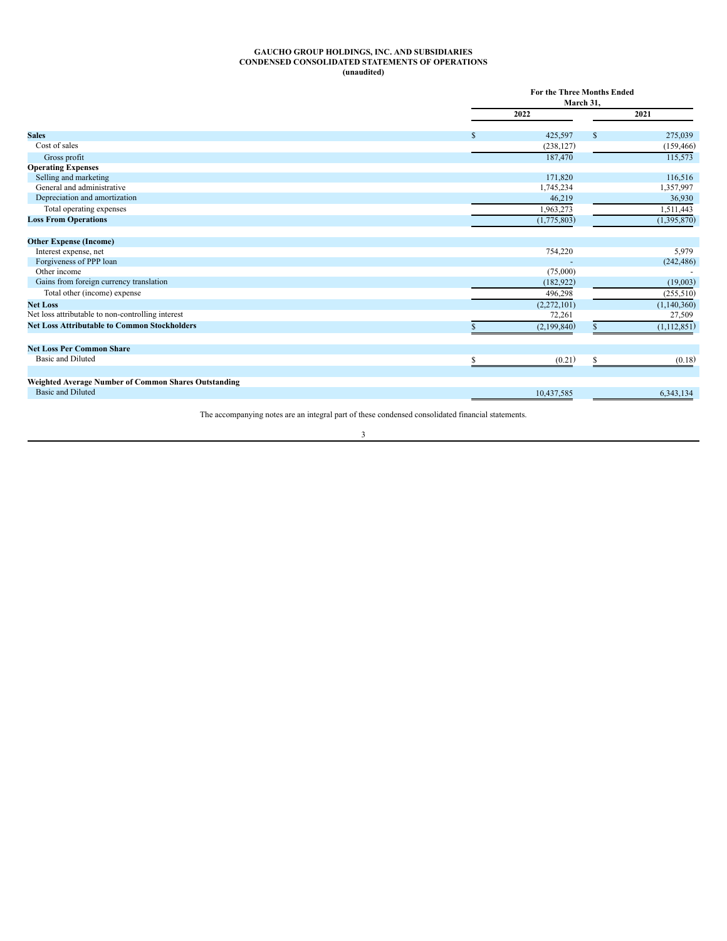### **GAUCHO GROUP HOLDINGS, INC. AND SUBSIDIARIES CONDENSED CONSOLIDATED STATEMENTS OF OPERATIONS (unaudited)**

<span id="page-4-0"></span>

|                                                      |     | <b>For the Three Months Ended</b><br>March 31, |              |               |  |
|------------------------------------------------------|-----|------------------------------------------------|--------------|---------------|--|
|                                                      |     | 2022                                           |              | 2021          |  |
| <b>Sales</b>                                         |     | 425,597                                        | $\mathbf{s}$ | 275,039       |  |
| Cost of sales                                        |     | (238, 127)                                     |              | (159, 466)    |  |
| Gross profit                                         |     | 187,470                                        |              | 115,573       |  |
| <b>Operating Expenses</b>                            |     |                                                |              |               |  |
| Selling and marketing                                |     | 171,820                                        |              | 116,516       |  |
| General and administrative                           |     | 1,745,234                                      |              | 1,357,997     |  |
| Depreciation and amortization                        |     | 46,219                                         |              | 36,930        |  |
| Total operating expenses                             |     | 1,963,273                                      |              | 1,511,443     |  |
| <b>Loss From Operations</b>                          |     | (1,775,803)                                    |              | (1, 395, 870) |  |
| <b>Other Expense (Income)</b>                        |     |                                                |              |               |  |
| Interest expense, net                                |     | 754,220                                        |              | 5,979         |  |
| Forgiveness of PPP loan                              |     |                                                |              | (242, 486)    |  |
| Other income                                         |     | (75,000)                                       |              |               |  |
| Gains from foreign currency translation              |     | (182, 922)                                     |              | (19,003)      |  |
| Total other (income) expense                         |     | 496,298                                        |              | (255, 510)    |  |
| <b>Net Loss</b>                                      |     | (2,272,101)                                    |              | (1,140,360)   |  |
| Net loss attributable to non-controlling interest    |     | 72,261                                         |              | 27,509        |  |
| <b>Net Loss Attributable to Common Stockholders</b>  |     | (2,199,840)                                    | \$.          | (1,112,851)   |  |
| <b>Net Loss Per Common Share</b>                     |     |                                                |              |               |  |
| <b>Basic and Diluted</b>                             | \$. | (0.21)                                         | S            | (0.18)        |  |
| Weighted Average Number of Common Shares Outstanding |     |                                                |              |               |  |
| <b>Basic and Diluted</b>                             |     | 10,437,585                                     |              | 6,343,134     |  |
|                                                      |     |                                                |              |               |  |

The accompanying notes are an integral part of these condensed consolidated financial statements.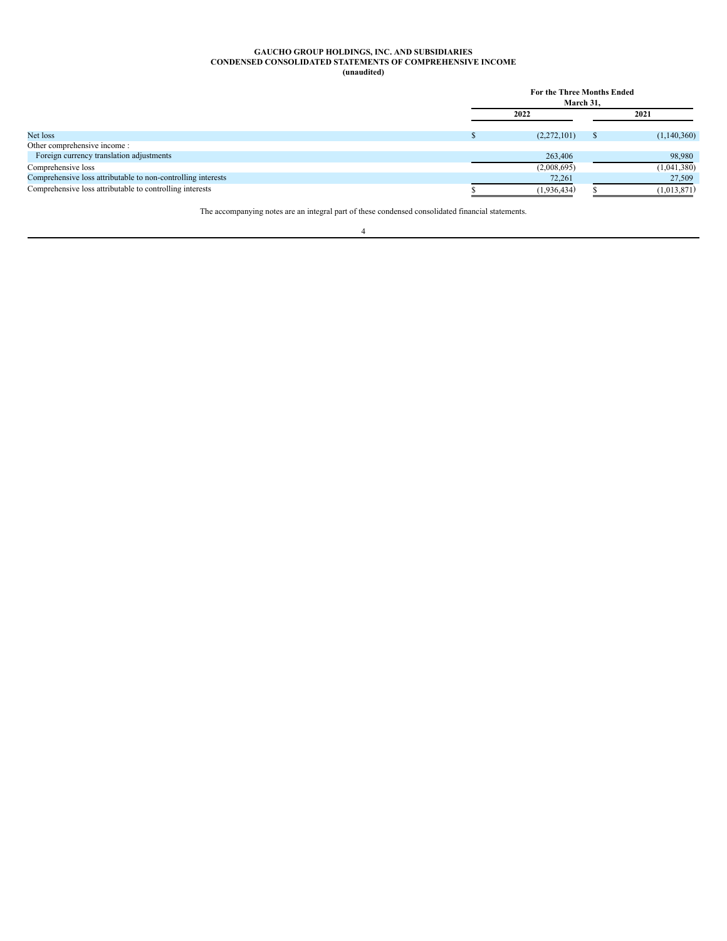#### **GAUCHO GROUP HOLDINGS, INC. AND SUBSIDIARIES CONDENSED CONSOLIDATED STATEMENTS OF COMPREHENSIVE INCOME (unaudited)**

<span id="page-5-0"></span>

|                                                              | <b>For the Three Months Ended</b><br>March 31, |      |             |  |  |
|--------------------------------------------------------------|------------------------------------------------|------|-------------|--|--|
|                                                              | 2022                                           | 2021 |             |  |  |
| Net loss                                                     | (2,272,101)                                    |      | (1,140,360) |  |  |
| Other comprehensive income:                                  |                                                |      |             |  |  |
| Foreign currency translation adjustments                     | 263,406                                        |      | 98,980      |  |  |
| Comprehensive loss                                           | (2,008,695)                                    |      | (1,041,380) |  |  |
| Comprehensive loss attributable to non-controlling interests | 72,261                                         |      | 27,509      |  |  |
| Comprehensive loss attributable to controlling interests     | (1,936,434)                                    |      | (1,013,871) |  |  |

The accompanying notes are an integral part of these condensed consolidated financial statements.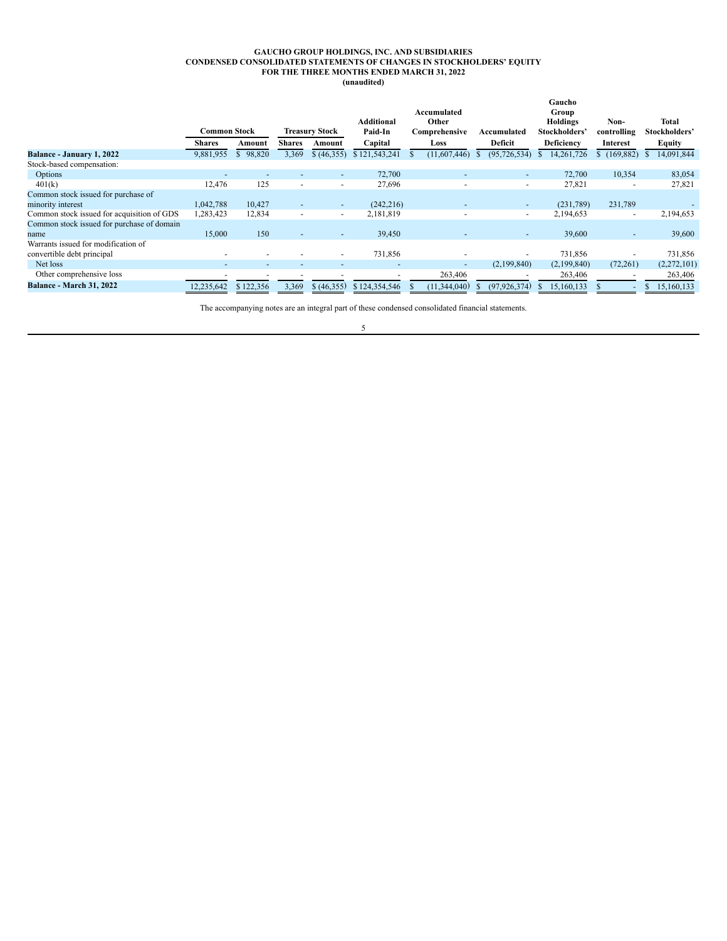#### **GAUCHO GROUP HOLDINGS, INC. AND SUBSIDIARIES CONDENSED CONSOLIDATED STATEMENTS OF CHANGES IN STOCKHOLDERS' EQUITY FOR THE THREE MONTHS ENDED MARCH 31, 2022 (unaudited)**

<span id="page-6-0"></span>

|                                            |                          | <b>Common Stock</b><br><b>Treasury Stock</b> |                          | <b>Additional</b><br>Paid-In | Accumulated<br>Other<br>Comprehensive |  | Accumulated    | Gaucho<br>Group<br><b>Holdings</b><br>Stockholders' | Non-<br>controlling<br>Stockholders' |                          |               |
|--------------------------------------------|--------------------------|----------------------------------------------|--------------------------|------------------------------|---------------------------------------|--|----------------|-----------------------------------------------------|--------------------------------------|--------------------------|---------------|
|                                            | <b>Shares</b>            | Amount                                       | <b>Shares</b>            | Amount                       | Capital                               |  | Loss           | Deficit                                             | Deficiency                           | Interest                 | <b>Equity</b> |
| <b>Balance - January 1, 2022</b>           | 9,881,955                | 98,820                                       | 3,369                    | \$ (46,355)                  | \$121,543,241                         |  | (11,607,446)   | (95, 726, 534)                                      | 14,261,726                           | (169, 882)               | 14,091,844    |
| Stock-based compensation:                  |                          |                                              |                          |                              |                                       |  |                |                                                     |                                      |                          |               |
| <b>Options</b>                             | $\overline{\phantom{a}}$ |                                              |                          | $\overline{a}$               | 72,700                                |  |                | $\sim$                                              | 72,700                               | 10,354                   | 83,054        |
| 401(k)                                     | 12,476                   | 125                                          | $\overline{\phantom{0}}$ | $\overline{\phantom{a}}$     | 27,696                                |  |                | -                                                   | 27,821                               | $\overline{\phantom{a}}$ | 27,821        |
| Common stock issued for purchase of        |                          |                                              |                          |                              |                                       |  |                |                                                     |                                      |                          |               |
| minority interest                          | 1,042,788                | 10,427                                       | $\overline{a}$           |                              | (242, 216)                            |  | $\sim$         | $\sim$                                              | (231,789)                            | 231,789                  |               |
| Common stock issued for acquisition of GDS | 1,283,423                | 12,834                                       |                          | $\overline{a}$               | 2,181,819                             |  |                | $\sim$                                              | 2,194,653                            | $\overline{\phantom{0}}$ | 2,194,653     |
| Common stock issued for purchase of domain |                          |                                              |                          |                              |                                       |  |                |                                                     |                                      |                          |               |
| name                                       | 15,000                   | 150                                          | $\sim$                   | $\overline{a}$               | 39,450                                |  |                | $\sim$                                              | 39,600                               | ٠                        | 39,600        |
| Warrants issued for modification of        |                          |                                              |                          |                              |                                       |  |                |                                                     |                                      |                          |               |
| convertible debt principal                 |                          |                                              |                          |                              | 731,856                               |  |                |                                                     | 731,856                              |                          | 731,856       |
| Net loss                                   | $\overline{\phantom{a}}$ | $\overline{\phantom{a}}$                     |                          | $\overline{a}$               | $\overline{a}$                        |  | $\sim$         | (2,199,840)                                         | (2,199,840)                          | (72, 261)                | (2,272,101)   |
| Other comprehensive loss                   |                          |                                              |                          |                              |                                       |  | 263,406        |                                                     | 263,406                              |                          | 263,406       |
| <b>Balance - March 31, 2022</b>            | 12,235,642               | \$122,356                                    | 3,369                    | \$ (46,355)                  | \$124,354,546                         |  | (11, 344, 040) | (97, 926, 374)                                      | 15,160,133                           |                          | 15,160,133    |

The accompanying notes are an integral part of these condensed consolidated financial statements.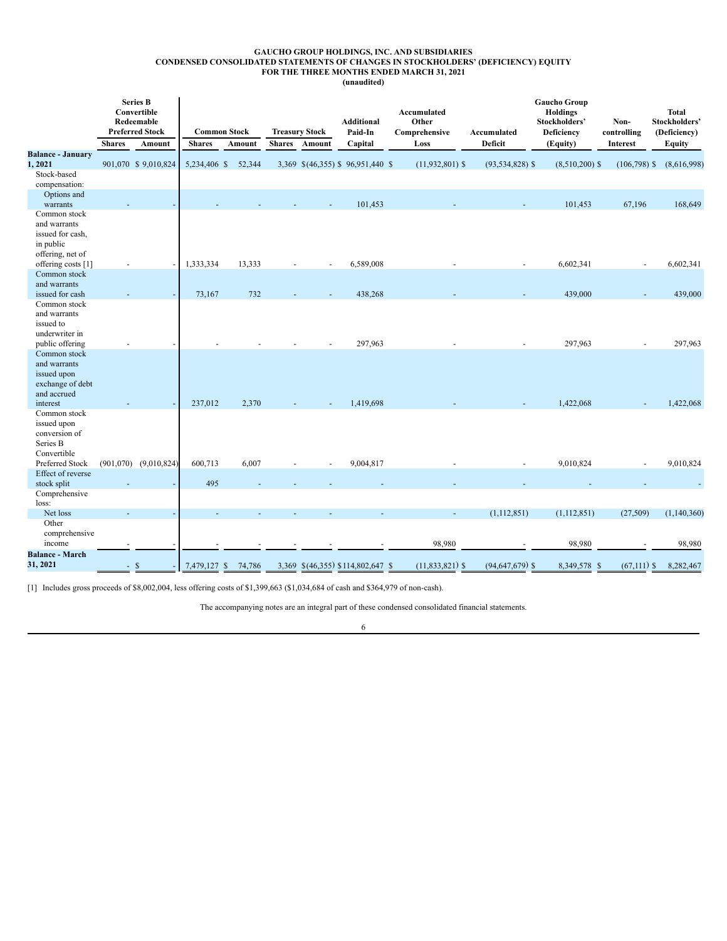#### **GAUCHO GROUP HOLDINGS, INC. AND SUBSIDIARIES CONDENSED CONSOLIDATED STATEMENTS OF CHANGES IN STOCKHOLDERS' (DEFICIENCY) EQUITY FOR THE THREE MONTHS ENDED MARCH 31, 2021 (unaudited)**

<span id="page-7-0"></span>

|                                                                                            |               | <b>Series B</b><br>Convertible<br>Redeemable<br><b>Preferred Stock</b> | <b>Common Stock</b> |        |               | <b>Treasury Stock</b> | <b>Additional</b><br>Paid-In      | Accumulated<br>Other<br>Comprehensive | Accumulated         | <b>Gaucho Group</b><br><b>Holdings</b><br>Stockholders'<br><b>Deficiency</b> | Non-<br>controlling | <b>Total</b><br>Stockholders'<br>(Deficiency) |
|--------------------------------------------------------------------------------------------|---------------|------------------------------------------------------------------------|---------------------|--------|---------------|-----------------------|-----------------------------------|---------------------------------------|---------------------|------------------------------------------------------------------------------|---------------------|-----------------------------------------------|
|                                                                                            | <b>Shares</b> | Amount                                                                 | <b>Shares</b>       | Amount | <b>Shares</b> | Amount                | Capital                           | Loss                                  | <b>Deficit</b>      | (Equity)                                                                     | <b>Interest</b>     | <b>Equity</b>                                 |
| <b>Balance - January</b>                                                                   |               |                                                                        |                     |        |               |                       |                                   |                                       |                     |                                                                              |                     |                                               |
| 1,2021<br>Stock-based                                                                      |               | 901,070 \$9,010,824                                                    | 5,234,406 \$        | 52,344 |               |                       | 3,369 \$(46,355) \$ 96,951,440 \$ | $(11,932,801)$ \$                     | $(93, 534, 828)$ \$ | $(8,510,200)$ \$                                                             | $(106,798)$ \$      | (8,616,998)                                   |
| compensation:                                                                              |               |                                                                        |                     |        |               |                       |                                   |                                       |                     |                                                                              |                     |                                               |
| Options and                                                                                |               |                                                                        |                     |        |               |                       |                                   |                                       |                     |                                                                              |                     |                                               |
| warrants                                                                                   |               |                                                                        |                     |        |               |                       | 101,453                           |                                       |                     | 101,453                                                                      | 67,196              | 168,649                                       |
| Common stock<br>and warrants<br>issued for cash,                                           |               |                                                                        |                     |        |               |                       |                                   |                                       |                     |                                                                              |                     |                                               |
| in public<br>offering, net of                                                              |               |                                                                        |                     |        |               |                       |                                   |                                       |                     |                                                                              |                     |                                               |
| offering costs [1]                                                                         |               |                                                                        | 1,333,334           | 13,333 |               |                       | 6,589,008                         |                                       |                     | 6,602,341                                                                    |                     | 6,602,341                                     |
| Common stock                                                                               |               |                                                                        |                     |        |               |                       |                                   |                                       |                     |                                                                              |                     |                                               |
| and warrants                                                                               |               |                                                                        |                     |        |               |                       |                                   |                                       |                     |                                                                              |                     |                                               |
| issued for cash                                                                            |               |                                                                        | 73,167              | 732    |               |                       | 438,268                           |                                       |                     | 439,000                                                                      |                     | 439,000                                       |
| Common stock<br>and warrants<br>issued to<br>underwriter in                                |               |                                                                        |                     |        |               |                       |                                   |                                       |                     |                                                                              |                     |                                               |
| public offering                                                                            |               |                                                                        |                     |        |               |                       | 297,963                           |                                       |                     | 297,963                                                                      |                     | 297,963                                       |
| Common stock<br>and warrants<br>issued upon<br>exchange of debt<br>and accrued<br>interest |               |                                                                        | 237,012             | 2,370  |               |                       | 1,419,698                         |                                       |                     | 1,422,068                                                                    |                     | 1,422,068                                     |
| Common stock<br>issued upon<br>conversion of<br>Series B<br>Convertible                    |               |                                                                        |                     |        |               |                       |                                   |                                       |                     |                                                                              |                     |                                               |
| <b>Preferred Stock</b><br>Effect of reverse                                                |               | $(901,070)$ $(9,010,824)$                                              | 600,713             | 6,007  |               |                       | 9,004,817                         |                                       |                     | 9,010,824                                                                    |                     | 9,010,824                                     |
| stock split                                                                                |               |                                                                        | 495                 |        |               |                       |                                   |                                       |                     |                                                                              |                     |                                               |
| Comprehensive<br>loss:                                                                     |               |                                                                        |                     |        |               |                       |                                   |                                       |                     |                                                                              |                     |                                               |
| Net loss                                                                                   |               |                                                                        |                     |        |               |                       |                                   | $\blacksquare$                        | (1, 112, 851)       | (1, 112, 851)                                                                | (27, 509)           | (1,140,360)                                   |
| Other<br>comprehensive<br>income                                                           |               |                                                                        |                     |        |               |                       |                                   | 98,980                                |                     | 98,980                                                                       |                     | 98,980                                        |
| <b>Balance - March</b><br>31, 2021                                                         | $-$ \$        |                                                                        | 7,479,127 \$        | 74,786 |               |                       | 3,369 \$(46,355) \$114,802,647 \$ | $(11,833,821)$ \$                     | $(94,647,679)$ \$   | 8,349,578 \$                                                                 | $(67,111)$ \$       | 8,282,467                                     |

[1] Includes gross proceeds of \$8,002,004, less offering costs of \$1,399,663 (\$1,034,684 of cash and \$364,979 of non-cash).

The accompanying notes are an integral part of these condensed consolidated financial statements.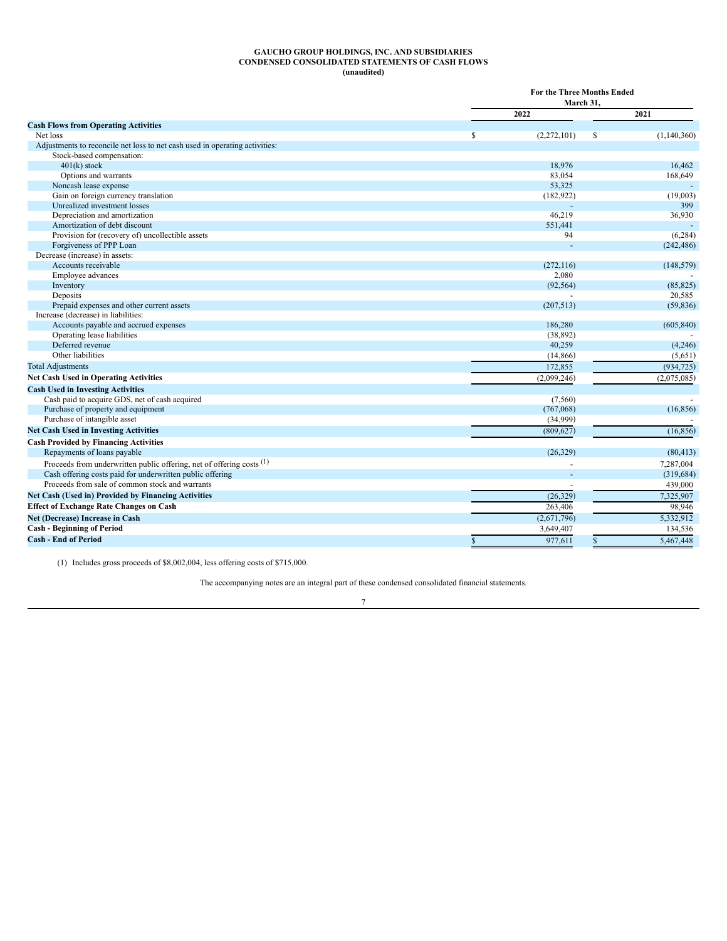#### **GAUCHO GROUP HOLDINGS, INC. AND SUBSIDIARIES CONDENSED CONSOLIDATED STATEMENTS OF CASH FLOWS (unaudited)**

<span id="page-8-0"></span>

|                                                                             |               | <b>For the Three Months Ended</b><br>March 31. |              |               |  |  |  |
|-----------------------------------------------------------------------------|---------------|------------------------------------------------|--------------|---------------|--|--|--|
|                                                                             |               | 2022                                           |              | 2021          |  |  |  |
| <b>Cash Flows from Operating Activities</b>                                 |               |                                                |              |               |  |  |  |
| Net loss                                                                    | <sup>\$</sup> | (2,272,101)                                    | \$           | (1, 140, 360) |  |  |  |
| Adjustments to reconcile net loss to net cash used in operating activities: |               |                                                |              |               |  |  |  |
| Stock-based compensation:                                                   |               |                                                |              |               |  |  |  |
| $401(k)$ stock                                                              |               | 18,976                                         |              | 16,462        |  |  |  |
| Options and warrants                                                        |               | 83,054                                         |              | 168,649       |  |  |  |
| Noncash lease expense                                                       |               | 53,325                                         |              |               |  |  |  |
| Gain on foreign currency translation                                        |               | (182, 922)                                     |              | (19,003)      |  |  |  |
| Unrealized investment losses                                                |               |                                                |              | 399           |  |  |  |
| Depreciation and amortization                                               |               | 46,219                                         |              | 36,930        |  |  |  |
| Amortization of debt discount                                               |               | 551,441                                        |              |               |  |  |  |
| Provision for (recovery of) uncollectible assets                            |               | 94                                             |              | (6, 284)      |  |  |  |
| Forgiveness of PPP Loan                                                     |               |                                                |              | (242, 486)    |  |  |  |
| Decrease (increase) in assets:                                              |               |                                                |              |               |  |  |  |
| Accounts receivable                                                         |               | (272, 116)                                     |              | (148, 579)    |  |  |  |
| Employee advances                                                           |               | 2,080                                          |              |               |  |  |  |
| Inventory                                                                   |               | (92, 564)                                      |              | (85, 825)     |  |  |  |
| Deposits                                                                    |               |                                                |              | 20,585        |  |  |  |
| Prepaid expenses and other current assets                                   |               | (207, 513)                                     |              | (59, 836)     |  |  |  |
| Increase (decrease) in liabilities:                                         |               |                                                |              |               |  |  |  |
| Accounts payable and accrued expenses                                       |               | 186,280                                        |              | (605, 840)    |  |  |  |
| Operating lease liabilities                                                 |               | (38, 892)                                      |              |               |  |  |  |
| Deferred revenue                                                            |               | 40,259                                         |              | (4,246)       |  |  |  |
| Other liabilities                                                           |               | (14, 866)                                      |              | (5,651)       |  |  |  |
| <b>Total Adjustments</b>                                                    |               | 172,855                                        |              | (934, 725)    |  |  |  |
| <b>Net Cash Used in Operating Activities</b>                                |               | (2,099,246)                                    |              | (2,075,085)   |  |  |  |
| <b>Cash Used in Investing Activities</b>                                    |               |                                                |              |               |  |  |  |
| Cash paid to acquire GDS, net of cash acquired                              |               | (7,560)                                        |              |               |  |  |  |
| Purchase of property and equipment                                          |               | (767,068)                                      |              | (16, 856)     |  |  |  |
| Purchase of intangible asset                                                |               | (34,999)                                       |              |               |  |  |  |
| <b>Net Cash Used in Investing Activities</b>                                |               | (809, 627)                                     |              | (16, 856)     |  |  |  |
| <b>Cash Provided by Financing Activities</b>                                |               |                                                |              |               |  |  |  |
| Repayments of loans payable                                                 |               | (26, 329)                                      |              | (80, 413)     |  |  |  |
|                                                                             |               |                                                |              |               |  |  |  |
| Proceeds from underwritten public offering, net of offering costs (1)       |               |                                                |              | 7,287,004     |  |  |  |
| Cash offering costs paid for underwritten public offering                   |               | $\overline{a}$                                 |              | (319, 684)    |  |  |  |
| Proceeds from sale of common stock and warrants                             |               |                                                |              | 439,000       |  |  |  |
| <b>Net Cash (Used in) Provided by Financing Activities</b>                  |               | (26, 329)                                      |              | 7,325,907     |  |  |  |
| <b>Effect of Exchange Rate Changes on Cash</b>                              |               | 263,406                                        |              | 98.946        |  |  |  |
| <b>Net (Decrease) Increase in Cash</b>                                      |               | (2,671,796)                                    |              | 5,332,912     |  |  |  |
| <b>Cash - Beginning of Period</b>                                           |               | 3,649,407                                      |              | 134,536       |  |  |  |
| <b>Cash - End of Period</b>                                                 | \$            | 977,611                                        | $\mathbb{S}$ | 5,467,448     |  |  |  |

(1) Includes gross proceeds of \$8,002,004, less offering costs of \$715,000.

The accompanying notes are an integral part of these condensed consolidated financial statements.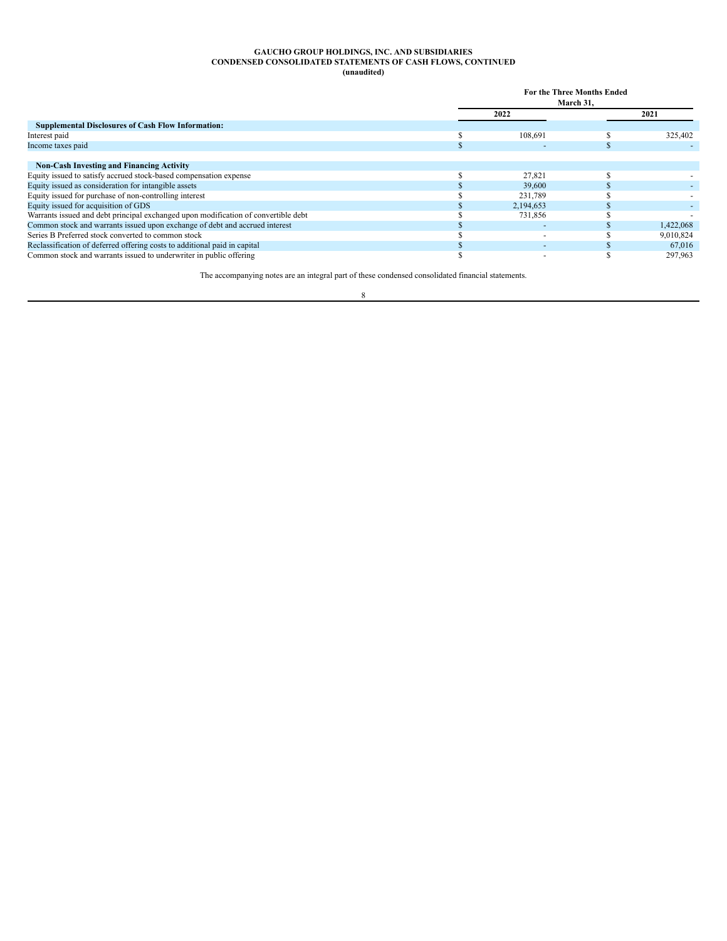#### **GAUCHO GROUP HOLDINGS, INC. AND SUBSIDIARIES CONDENSED CONSOLIDATED STATEMENTS OF CASH FLOWS, CONTINUED (unaudited)**

|                                                                                    | <b>For the Three Months Ended</b><br>March 31, |  |           |  |  |  |  |
|------------------------------------------------------------------------------------|------------------------------------------------|--|-----------|--|--|--|--|
|                                                                                    | 2022                                           |  | 2021      |  |  |  |  |
| <b>Supplemental Disclosures of Cash Flow Information:</b>                          |                                                |  |           |  |  |  |  |
| Interest paid                                                                      | 108,691                                        |  | 325,402   |  |  |  |  |
| Income taxes paid                                                                  |                                                |  |           |  |  |  |  |
| <b>Non-Cash Investing and Financing Activity</b>                                   |                                                |  |           |  |  |  |  |
| Equity issued to satisfy accrued stock-based compensation expense                  | 27,821                                         |  |           |  |  |  |  |
| Equity issued as consideration for intangible assets                               | 39,600                                         |  |           |  |  |  |  |
| Equity issued for purchase of non-controlling interest                             | 231,789                                        |  |           |  |  |  |  |
| Equity issued for acquisition of GDS                                               | 2,194,653                                      |  |           |  |  |  |  |
| Warrants issued and debt principal exchanged upon modification of convertible debt | 731,856                                        |  |           |  |  |  |  |
| Common stock and warrants issued upon exchange of debt and accrued interest        |                                                |  | 1,422,068 |  |  |  |  |
| Series B Preferred stock converted to common stock                                 |                                                |  | 9,010,824 |  |  |  |  |
| Reclassification of deferred offering costs to additional paid in capital          |                                                |  | 67,016    |  |  |  |  |
| Common stock and warrants issued to underwriter in public offering                 |                                                |  | 297,963   |  |  |  |  |

The accompanying notes are an integral part of these condensed consolidated financial statements.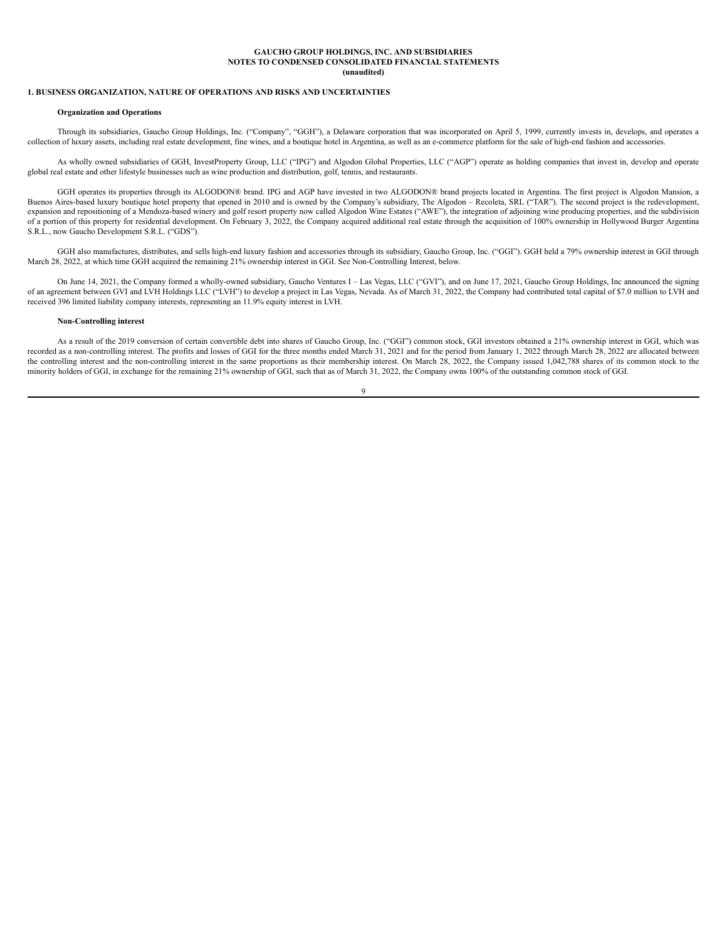### <span id="page-10-0"></span>**1. BUSINESS ORGANIZATION, NATURE OF OPERATIONS AND RISKS AND UNCERTAINTIES**

### **Organization and Operations**

Through its subsidiaries, Gaucho Group Holdings, Inc. ("Company", "GGH"), a Delaware corporation that was incorporated on April 5, 1999, currently invests in, develops, and operates a collection of luxury assets, including real estate development, fine wines, and a boutique hotel in Argentina, as well as an e-commerce platform for the sale of high-end fashion and accessories.

As wholly owned subsidiaries of GGH, InvestProperty Group, LLC ("IPG") and Algodon Global Properties, LLC ("AGP") operate as holding companies that invest in, develop and operate global real estate and other lifestyle businesses such as wine production and distribution, golf, tennis, and restaurants.

GGH operates its properties through its ALGODON® brand. IPG and AGP have invested in two ALGODON® brand projects located in Argentina. The first project is Algodon Mansion, a Buenos Aires-based luxury boutique hotel property that opened in 2010 and is owned by the Company's subsidiary, The Algodon – Recoleta, SRL ("TAR"). The second project is the redevelopment, expansion and repositioning of a Mendoza-based winery and golf resort property now called Algodon Wine Estates ("AWE"), the integration of adjoining wine producing properties, and the subdivision of a portion of this property for residential development. On February 3, 2022, the Company acquired additional real estate through the acquisition of 100% ownership in Hollywood Burger Argentina S.R.L., now Gaucho Development S.R.L. ("GDS").

GGH also manufactures, distributes, and sells high-end luxury fashion and accessories through its subsidiary, Gaucho Group, Inc. ("GGI"). GGH held a 79% ownership interest in GGI through March 28, 2022, at which time GGH acquired the remaining 21% ownership interest in GGI. See Non-Controlling Interest, below.

On June 14, 2021, the Company formed a wholly-owned subsidiary, Gaucho Ventures I - Las Vegas, LLC ("GVI"), and on June 17, 2021, Gaucho Group Holdings, Inc announced the signing of an agreement between GVI and LVH Holdings LLC ("LVH") to develop a project in Las Vegas, Nevada. As of March 31, 2022, the Company had contributed total capital of \$7.0 million to LVH and received 396 limited liability company interests, representing an 11.9% equity interest in LVH.

### **Non-Controlling interest**

As a result of the 2019 conversion of certain convertible debt into shares of Gaucho Group, Inc. ("GGI") common stock, GGI investors obtained a 21% ownership interest in GGI, which was recorded as a non-controlling interest. The profits and losses of GGI for the three months ended March 31, 2021 and for the period from January 1, 2022 through March 28, 2022 are allocated between the controlling interest and the non-controlling interest in the same proportions as their membership interest. On March 28, 2022, the Company issued 1,042,788 shares of its common stock to the minority holders of GGI, in exchange for the remaining 21% ownership of GGI, such that as of March 31, 2022, the Company owns 100% of the outstanding common stock of GGI.

 $\mathbf{o}$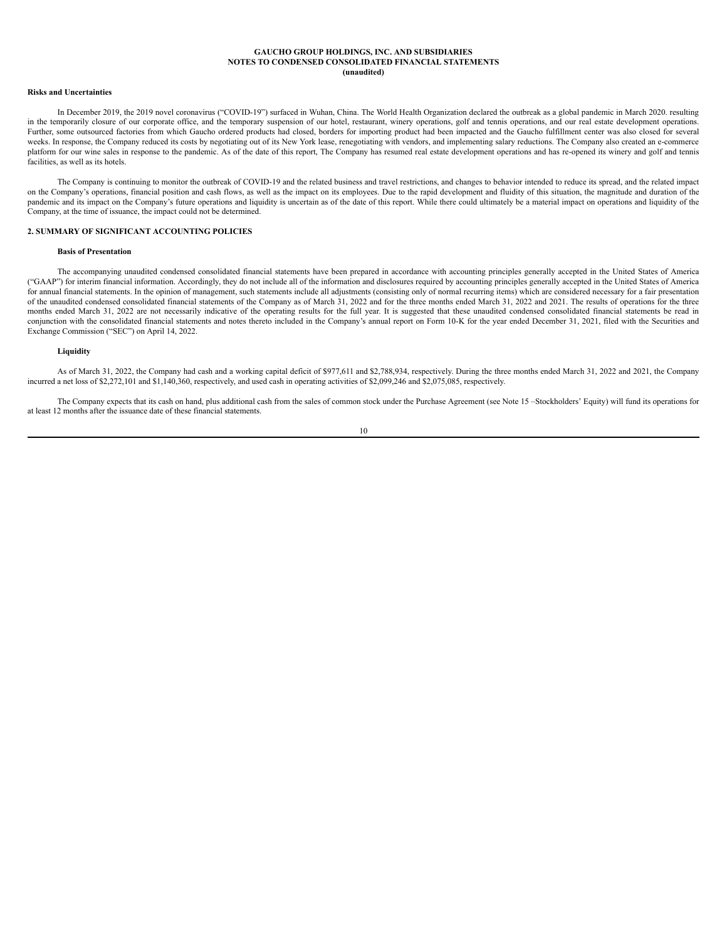### **Risks and Uncertainties**

In December 2019, the 2019 novel coronavirus ("COVID-19") surfaced in Wuhan, China. The World Health Organization declared the outbreak as a global pandemic in March 2020. resulting in the temporarily closure of our corporate office, and the temporary suspension of our hotel, restaurant, winery operations, golf and tennis operations, and our real estate development operations. Further, some outsourced factories from which Gaucho ordered products had closed, borders for importing product had been impacted and the Gaucho fulfillment center was also closed for several weeks. In response, the Company reduced its costs by negotiating out of its New York lease, renegotiating with vendors, and implementing salary reductions. The Company also created an e-commerce platform for our wine sales in response to the pandemic. As of the date of this report, The Company has resumed real estate development operations and has re-opened its winery and golf and tennis facilities, as well as its hotels.

The Company is continuing to monitor the outbreak of COVID-19 and the related business and travel restrictions, and changes to behavior intended to reduce its spread, and the related impact on the Company's operations, financial position and cash flows, as well as the impact on its employees. Due to the rapid development and fluidity of this situation, the magnitude and duration of the pandemic and its impact on the Company's future operations and liquidity is uncertain as of the date of this report. While there could ultimately be a material impact on operations and liquidity of the Company, at the time of issuance, the impact could not be determined.

#### **2. SUMMARY OF SIGNIFICANT ACCOUNTING POLICIES**

#### **Basis of Presentation**

The accompanying unaudited condensed consolidated financial statements have been prepared in accordance with accounting principles generally accepted in the United States of America ("GAAP") for interim financial information. Accordingly, they do not include all of the information and disclosures required by accounting principles generally accepted in the United States of America for annual financial statements. In the opinion of management, such statements include all adjustments (consisting only of normal recurring items) which are considered necessary for a fair presentation of the unaudited condensed consolidated financial statements of the Company as of March 31, 2022 and for the three months ended March 31, 2022 and 2021. The results of operations for the three months ended March 31, 2022 are not necessarily indicative of the operating results for the full year. It is suggested that these unaudited condensed consolidated financial statements be read in conjunction with the consolidated financial statements and notes thereto included in the Company's annual report on Form 10-K for the year ended December 31, 2021, filed with the Securities and Exchange Commission ("SEC") on April 14, 2022.

### **Liquidity**

As of March 31, 2022, the Company had cash and a working capital deficit of \$977,611 and \$2,788,934, respectively. During the three months ended March 31, 2022 and 2021, the Company incurred a net loss of \$2,272,101 and \$1,140,360, respectively, and used cash in operating activities of \$2,099,246 and \$2,075,085, respectively.

The Company expects that its cash on hand, plus additional cash from the sales of common stock under the Purchase Agreement (see Note 15 –Stockholders' Equity) will fund its operations for at least 12 months after the issuance date of these financial statements.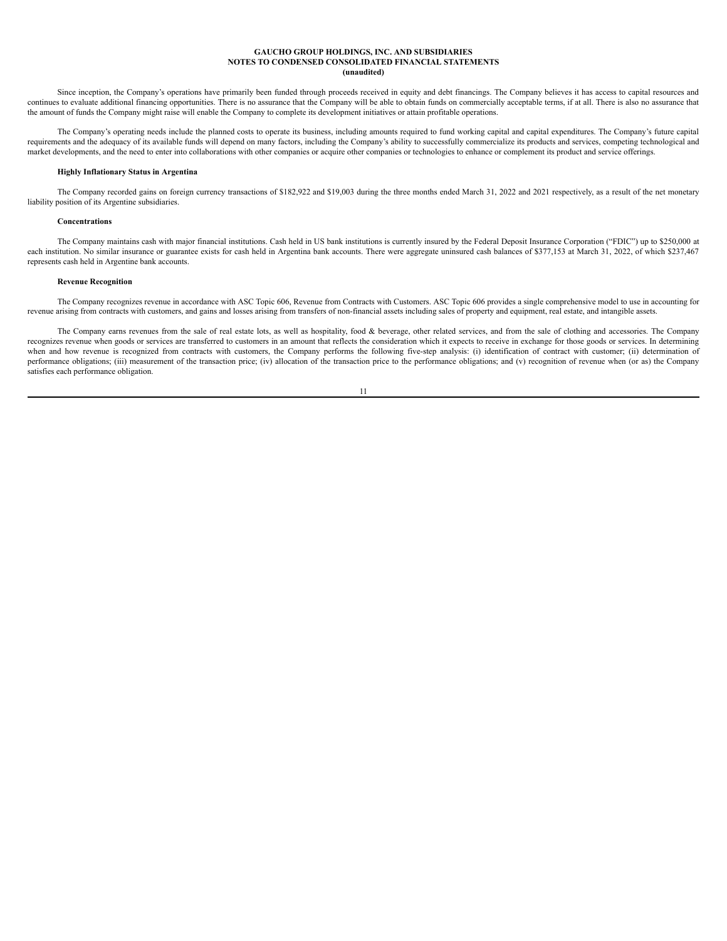Since inception, the Company's operations have primarily been funded through proceeds received in equity and debt financings. The Company believes it has access to capital resources and continues to evaluate additional financing opportunities. There is no assurance that the Company will be able to obtain funds on commercially acceptable terms, if at all. There is also no assurance that the amount of funds the Company might raise will enable the Company to complete its development initiatives or attain profitable operations.

The Company's operating needs include the planned costs to operate its business, including amounts required to fund working capital and capital expenditures. The Company's future capital requirements and the adequacy of its available funds will depend on many factors, including the Company's ability to successfully commercialize its products and services, competing technological and market developments, and the need to enter into collaborations with other companies or acquire other companies or technologies to enhance or complement its product and service offerings.

#### **Highly Inflationary Status in Argentina**

The Company recorded gains on foreign currency transactions of \$182,922 and \$19,003 during the three months ended March 31, 2022 and 2021 respectively, as a result of the net monetary liability position of its Argentine subsidiaries.

#### **Concentrations**

The Company maintains cash with major financial institutions. Cash held in US bank institutions is currently insured by the Federal Deposit Insurance Corporation ("FDIC") up to \$250,000 at each institution. No similar insurance or guarantee exists for cash held in Argentina bank accounts. There were aggregate uninsured cash balances of \$377,153 at March 31, 2022, of which \$237,467 represents cash held in Argentine bank accounts.

#### **Revenue Recognition**

The Company recognizes revenue in accordance with ASC Topic 606, Revenue from Contracts with Customers. ASC Topic 606 provides a single comprehensive model to use in accounting for revenue arising from contracts with customers, and gains and losses arising from transfers of non-financial assets including sales of property and equipment, real estate, and intangible assets.

The Company earns revenues from the sale of real estate lots, as well as hospitality, food & beverage, other related services, and from the sale of clothing and accessories. The Company recognizes revenue when goods or services are transferred to customers in an amount that reflects the consideration which it expects to receive in exchange for those goods or services. In determining when and how revenue is recognized from contracts with customers, the Company performs the following five-step analysis: (i) identification of contract with customer; (ii) determination of performance obligations; (iii) measurement of the transaction price; (iv) allocation of the transaction price to the performance obligations; and (v) recognition of revenue when (or as) the Company satisfies each performance obligation.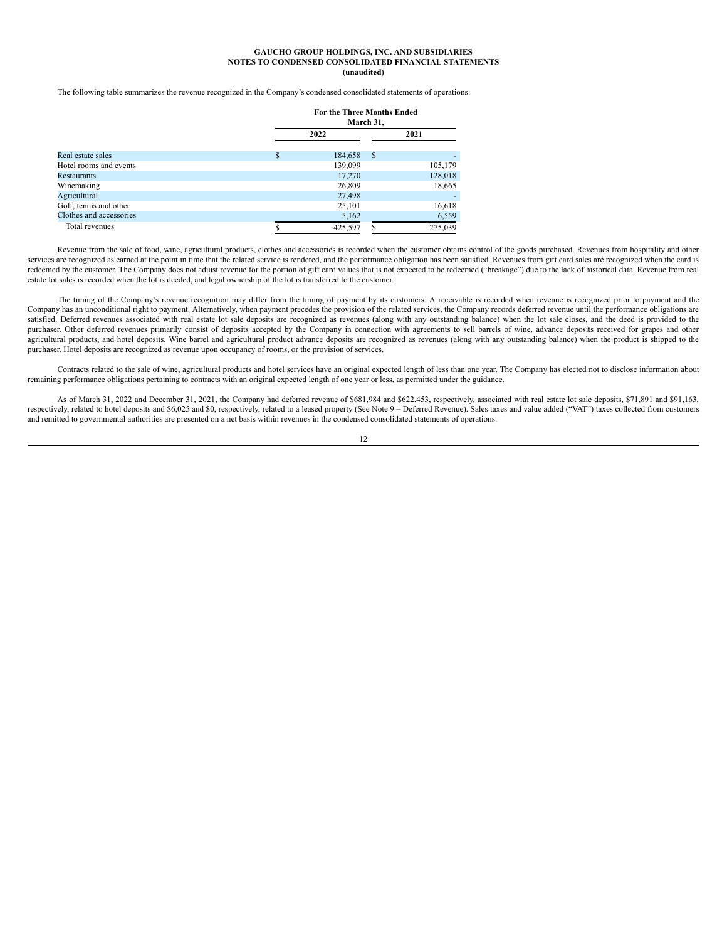The following table summarizes the revenue recognized in the Company's condensed consolidated statements of operations:

|                         |   | <b>For the Three Months Ended</b><br>March 31, |               |         |  |  |
|-------------------------|---|------------------------------------------------|---------------|---------|--|--|
|                         |   | 2022                                           |               |         |  |  |
| Real estate sales       | S | 184,658                                        | <sup>\$</sup> |         |  |  |
| Hotel rooms and events  |   | 139,099                                        |               | 105,179 |  |  |
| <b>Restaurants</b>      |   | 17,270                                         |               | 128,018 |  |  |
| Winemaking              |   | 26,809                                         |               | 18,665  |  |  |
| Agricultural            |   | 27,498                                         |               |         |  |  |
| Golf, tennis and other  |   | 25,101                                         |               | 16,618  |  |  |
| Clothes and accessories |   | 5,162                                          |               | 6,559   |  |  |
| Total revenues          |   | 425,597                                        | ς             | 275,039 |  |  |

Revenue from the sale of food, wine, agricultural products, clothes and accessories is recorded when the customer obtains control of the goods purchased. Revenues from hospitality and other services are recognized as earned at the point in time that the related service is rendered, and the performance obligation has been satisfied. Revenues from gift card sales are recognized when the card is redeemed by the customer. The Company does not adjust revenue for the portion of gift card values that is not expected to be redeemed ("breakage") due to the lack of historical data. Revenue from real estate lot sales is recorded when the lot is deeded, and legal ownership of the lot is transferred to the customer.

The timing of the Company's revenue recognition may differ from the timing of payment by its customers. A receivable is recorded when revenue is recognized prior to payment and the Company has an unconditional right to payment. Alternatively, when payment precedes the provision of the related services, the Company records deferred revenue until the performance obligations are satisfied. Deferred revenues associated with real estate lot sale deposits are recognized as revenues (along with any outstanding balance) when the lot sale closes, and the deed is provided to the purchaser. Other deferred revenues primarily consist of deposits accepted by the Company in connection with agreements to sell barrels of wine, advance deposits received for grapes and other agricultural products, and hotel deposits. Wine barrel and agricultural product advance deposits are recognized as revenues (along with any outstanding balance) when the product is shipped to the purchaser. Hotel deposits are recognized as revenue upon occupancy of rooms, or the provision of services.

Contracts related to the sale of wine, agricultural products and hotel services have an original expected length of less than one year. The Company has elected not to disclose information about remaining performance obligations pertaining to contracts with an original expected length of one year or less, as permitted under the guidance.

As of March 31, 2022 and December 31, 2021, the Company had deferred revenue of \$681,984 and \$622,453, respectively, associated with real estate lot sale deposits, \$71,891 and \$91,163, respectively, related to hotel deposits and \$6,025 and \$0, respectively, related to a leased property (See Note 9 – Deferred Revenue). Sales taxes and value added ("VAT") taxes collected from customers and remitted to governmental authorities are presented on a net basis within revenues in the condensed consolidated statements of operations.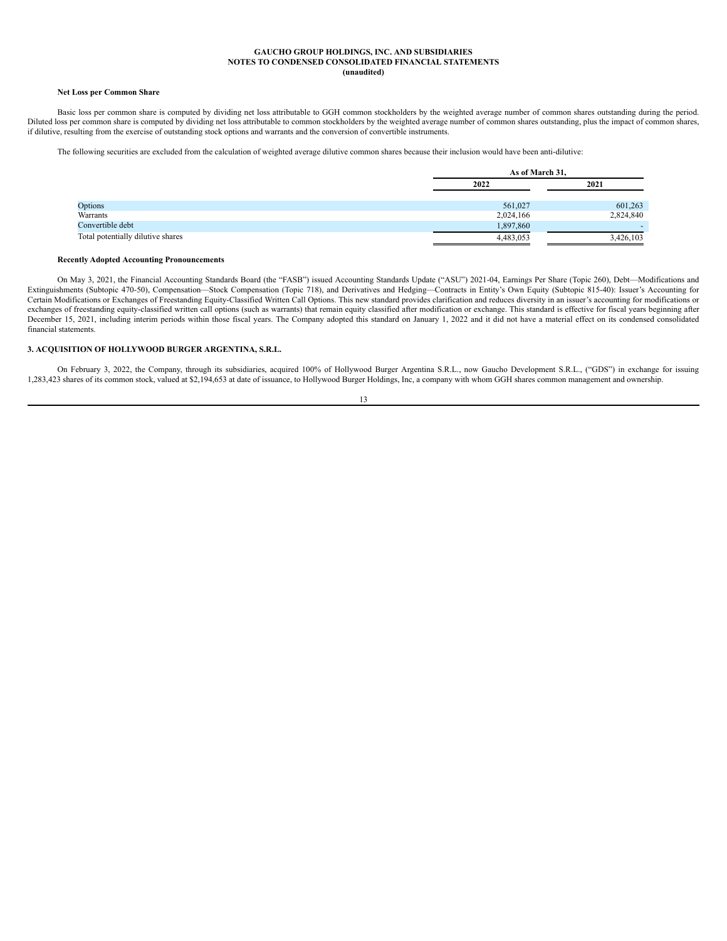### **Net Loss per Common Share**

Basic loss per common share is computed by dividing net loss attributable to GGH common stockholders by the weighted average number of common shares outstanding during the period. Diluted loss per common share is computed by dividing net loss attributable to common stockholders by the weighted average number of common shares outstanding, plus the impact of common shares, if dilutive, resulting from the exercise of outstanding stock options and warrants and the conversion of convertible instruments.

The following securities are excluded from the calculation of weighted average dilutive common shares because their inclusion would have been anti-dilutive:

|                                   |           | As of March 31, |  |  |  |
|-----------------------------------|-----------|-----------------|--|--|--|
|                                   | 2022      | 2021            |  |  |  |
| Options                           | 561,027   | 601,263         |  |  |  |
| Warrants                          | 2,024,166 | 2,824,840       |  |  |  |
| Convertible debt                  | 1,897,860 |                 |  |  |  |
| Total potentially dilutive shares | 4,483,053 | 3,426,103       |  |  |  |

### **Recently Adopted Accounting Pronouncements**

On May 3, 2021, the Financial Accounting Standards Board (the "FASB") issued Accounting Standards Update ("ASU") 2021-04, Earnings Per Share (Topic 260), Debt-Modifications and Extinguishments (Subtopic 470-50), Compensation—Stock Compensation (Topic 718), and Derivatives and Hedging—Contracts in Entity's Own Equity (Subtopic 815-40): Issuer's Accounting for Certain Modifications or Exchanges of Freestanding Equity-Classified Written Call Options. This new standard provides clarification and reduces diversity in an issuer's accounting for modifications or exchanges of freestanding equity-classified written call options (such as warrants) that remain equity classified after modification or exchange. This standard is effective for fiscal years beginning after December 15, 2021, including interim periods within those fiscal years. The Company adopted this standard on January 1, 2022 and it did not have a material effect on its condensed consolidated financial statements.

### **3. ACQUISITION OF HOLLYWOOD BURGER ARGENTINA, S.R.L.**

On February 3, 2022, the Company, through its subsidiaries, acquired 100% of Hollywood Burger Argentina S.R.L., now Gaucho Development S.R.L., ("GDS") in exchange for issuing 1,283,423 shares of its common stock, valued at \$2,194,653 at date of issuance, to Hollywood Burger Holdings, Inc, a company with whom GGH shares common management and ownership.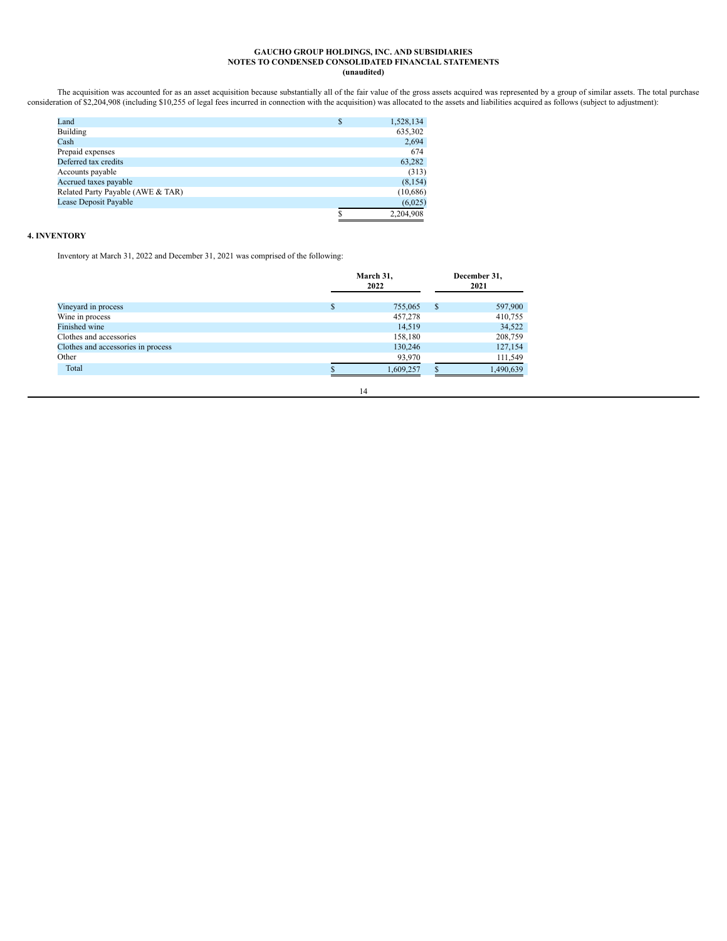The acquisition was accounted for as an asset acquisition because substantially all of the fair value of the gross assets acquired was represented by a group of similar assets. The total purchase consideration of \$2,204,908 (including \$10,255 of legal fees incurred in connection with the acquisition) was allocated to the assets and liabilities acquired as follows (subject to adjustment):

| Land                              | 1,528,134 |
|-----------------------------------|-----------|
| Building                          | 635,302   |
| Cash                              | 2,694     |
| Prepaid expenses                  | 674       |
| Deferred tax credits              | 63,282    |
| Accounts payable                  | (313)     |
| Accrued taxes payable             | (8, 154)  |
| Related Party Payable (AWE & TAR) | (10,686)  |
| Lease Deposit Payable             | (6,025)   |
|                                   | 2,204,908 |

## **4. INVENTORY**

Inventory at March 31, 2022 and December 31, 2021 was comprised of the following:

|                                    | March 31,<br>2022 | December 31,<br>2021 |           |  |
|------------------------------------|-------------------|----------------------|-----------|--|
| Vineyard in process                | 755,065           | S                    | 597,900   |  |
| Wine in process                    | 457,278           |                      | 410,755   |  |
| Finished wine                      | 14,519            |                      | 34,522    |  |
| Clothes and accessories            | 158,180           |                      | 208,759   |  |
| Clothes and accessories in process | 130,246           |                      | 127,154   |  |
| Other                              | 93,970            |                      | 111,549   |  |
| Total                              | 1,609,257         |                      | 1,490,639 |  |
|                                    |                   |                      |           |  |

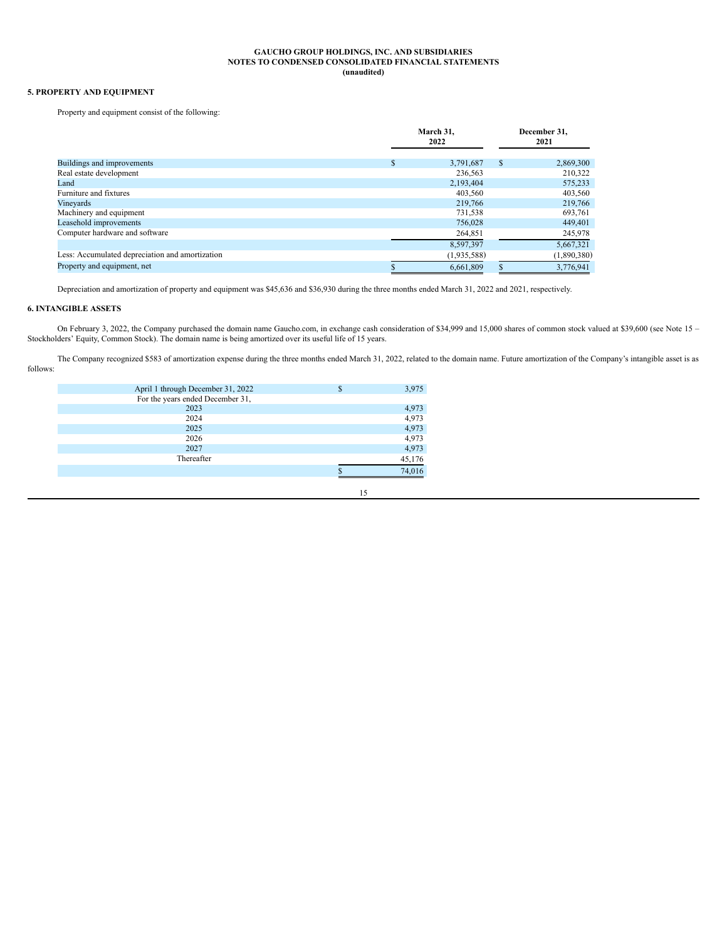## **5. PROPERTY AND EQUIPMENT**

Property and equipment consist of the following:

|                                                 |     | March 31.<br>2022 |               |             |
|-------------------------------------------------|-----|-------------------|---------------|-------------|
| Buildings and improvements                      | \$. | 3,791,687         | <sup>\$</sup> | 2,869,300   |
| Real estate development                         |     | 236,563           |               | 210,322     |
| Land                                            |     | 2,193,404         |               | 575,233     |
| Furniture and fixtures                          |     | 403.560           |               | 403,560     |
| Vineyards                                       |     | 219,766           |               | 219,766     |
| Machinery and equipment                         |     | 731,538           |               | 693,761     |
| Leasehold improvements                          |     | 756,028           |               | 449,401     |
| Computer hardware and software                  |     | 264,851           |               | 245,978     |
|                                                 |     | 8,597,397         |               | 5,667,321   |
| Less: Accumulated depreciation and amortization |     | (1,935,588)       |               | (1,890,380) |
| Property and equipment, net                     |     | 6.661.809         |               | 3.776.941   |

Depreciation and amortization of property and equipment was \$45,636 and \$36,930 during the three months ended March 31, 2022 and 2021, respectively.

## **6. INTANGIBLE ASSETS**

On February 3, 2022, the Company purchased the domain name Gaucho.com, in exchange cash consideration of \$34,999 and 15,000 shares of common stock valued at \$39,600 (see Note 15 – Stockholders' Equity, Common Stock). The domain name is being amortized over its useful life of 15 years.

The Company recognized \$583 of amortization expense during the three months ended March 31, 2022, related to the domain name. Future amortization of the Company's intangible asset is as follows:

| April 1 through December 31, 2022 | S  | 3,975  |
|-----------------------------------|----|--------|
| For the years ended December 31,  |    |        |
| 2023                              |    | 4,973  |
| 2024                              |    | 4,973  |
| 2025                              |    | 4,973  |
| 2026                              |    | 4,973  |
| 2027                              |    | 4,973  |
| Thereafter                        |    | 45,176 |
|                                   |    | 74,016 |
|                                   |    |        |
|                                   | 15 |        |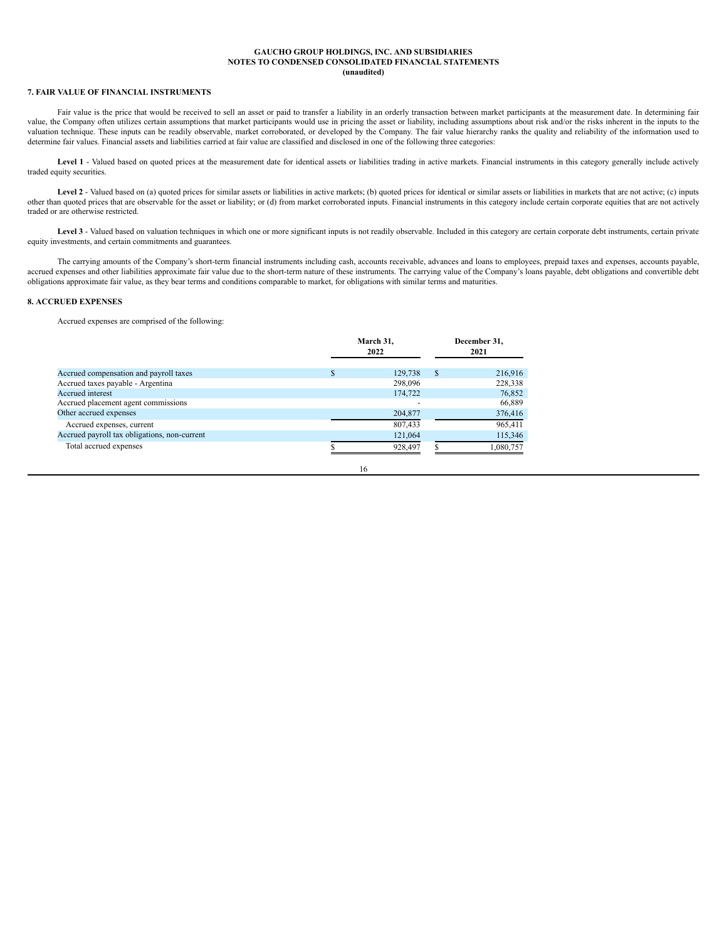### **7. FAIR VALUE OF FINANCIAL INSTRUMENTS**

Fair value is the price that would be received to sell an asset or paid to transfer a liability in an orderly transaction between market participants at the measurement date. In determining fair value, the Company often utilizes certain assumptions that market participants would use in pricing the asset or liability, including assumptions about risk and/or the risks inherent in the inputs to the valuation technique. These inputs can be readily observable, market corroborated, or developed by the Company. The fair value hierarchy ranks the quality and reliability of the information used to determine fair values. Financial assets and liabilities carried at fair value are classified and disclosed in one of the following three categories:

Level 1 - Valued based on quoted prices at the measurement date for identical assets or liabilities trading in active markets. Financial instruments in this category generally include actively traded equity securities.

Level 2 - Valued based on (a) quoted prices for similar assets or liabilities in active markets; (b) quoted prices for identical or similar assets or liabilities in markets that are not active; (c) inputs other than quoted prices that are observable for the asset or liability; or (d) from market corroborated inputs. Financial instruments in this category include certain corporate equities that are not actively traded or are otherwise restricted.

Level 3 - Valued based on valuation techniques in which one or more significant inputs is not readily observable. Included in this category are certain corporate debt instruments, certain private equity investments, and certain commitments and guarantees.

The carrying amounts of the Company's short-term financial instruments including cash, accounts receivable, advances and loans to employees, prepaid taxes and expenses, accounts payable, accrued expenses and other liabilities approximate fair value due to the short-term nature of these instruments. The carrying value of the Company's loans payable, debt obligations and convertible debt obligations approximate fair value, as they bear terms and conditions comparable to market, for obligations with similar terms and maturities.

### **8. ACCRUED EXPENSES**

Accrued expenses are comprised of the following:

|                                              | March 31,<br>2022 |   |           |
|----------------------------------------------|-------------------|---|-----------|
| Accrued compensation and payroll taxes       | \$<br>129.738     | S | 216,916   |
| Accrued taxes payable - Argentina            | 298,096           |   | 228,338   |
| Accrued interest                             | 174,722           |   | 76,852    |
| Accrued placement agent commissions          | -                 |   | 66,889    |
| Other accrued expenses                       | 204,877           |   | 376,416   |
| Accrued expenses, current                    | 807,433           |   | 965,411   |
| Accrued payroll tax obligations, non-current | 121,064           |   | 115,346   |
| Total accrued expenses                       | 928,497           |   | 1,080,757 |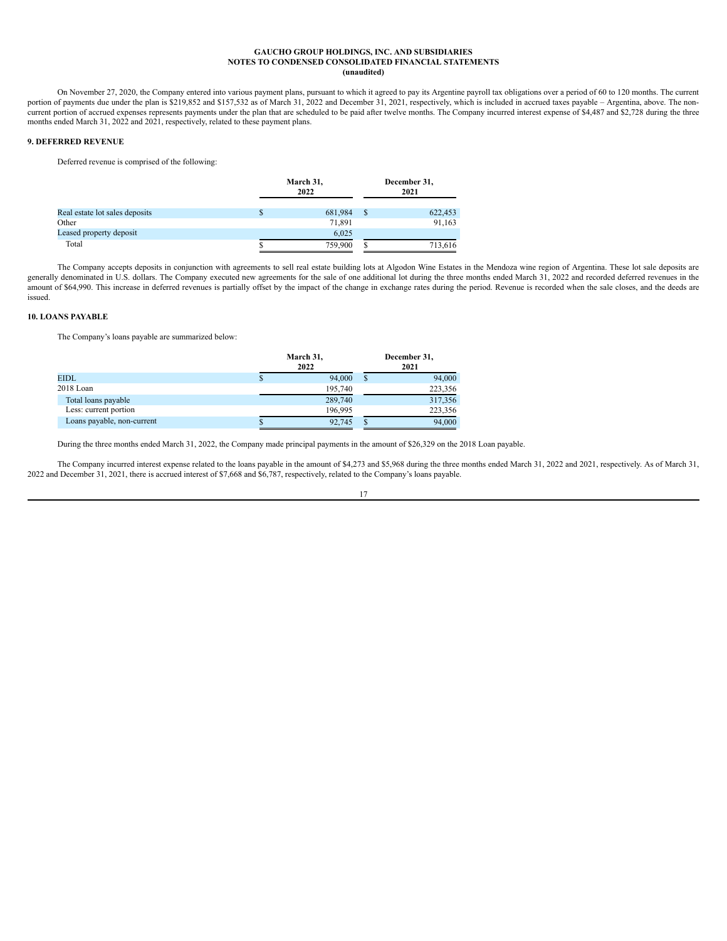On November 27, 2020, the Company entered into various payment plans, pursuant to which it agreed to pay its Argentine payroll tax obligations over a period of 60 to 120 months. The current portion of payments due under the plan is \$219,852 and \$157,532 as of March 31, 2022 and December 31, 2021, respectively, which is included in accrued taxes payable – Argentina, above. The noncurrent portion of accrued expenses represents payments under the plan that are scheduled to be paid after twelve months. The Company incurred interest expense of \$4,487 and \$2,728 during the three months ended March 31, 2022 and 2021, respectively, related to these payment plans.

### **9. DEFERRED REVENUE**

Deferred revenue is comprised of the following:

|                                |   | March 31,<br>2022 |   | December 31,<br>2021 |
|--------------------------------|---|-------------------|---|----------------------|
|                                |   |                   |   |                      |
| Real estate lot sales deposits | S | 681,984           | S | 622,453              |
| Other                          |   | 71,891            |   | 91,163               |
| Leased property deposit        |   | 6,025             |   |                      |
| Total                          |   | 759.900           | S | 713,616              |
|                                |   |                   |   |                      |

The Company accepts deposits in conjunction with agreements to sell real estate building lots at Algodon Wine Estates in the Mendoza wine region of Argentina. These lot sale deposits are generally denominated in U.S. dollars. The Company executed new agreements for the sale of one additional lot during the three months ended March 31, 2022 and recorded deferred revenues in the amount of \$64,990. This increase in deferred revenues is partially offset by the impact of the change in exchange rates during the period. Revenue is recorded when the sale closes, and the deeds are issued.

### **10. LOANS PAYABLE**

The Company's loans payable are summarized below:

|                            | March 31,<br>2022 | December 31,<br>2021 |         |  |
|----------------------------|-------------------|----------------------|---------|--|
| EIDL                       | 94,000            | S.                   | 94,000  |  |
| $2018$ Loan                | 195,740           |                      | 223,356 |  |
| Total loans payable        | 289,740           |                      | 317,356 |  |
| Less: current portion      | 196,995           |                      | 223,356 |  |
| Loans payable, non-current | 92,745            |                      | 94.000  |  |

During the three months ended March 31, 2022, the Company made principal payments in the amount of \$26,329 on the 2018 Loan payable.

The Company incurred interest expense related to the loans payable in the amount of \$4,273 and \$5,968 during the three months ended March 31, 2022 and 2021, respectively. As of March 31, 2022 and December 31, 2021, there is accrued interest of \$7,668 and \$6,787, respectively, related to the Company's loans payable.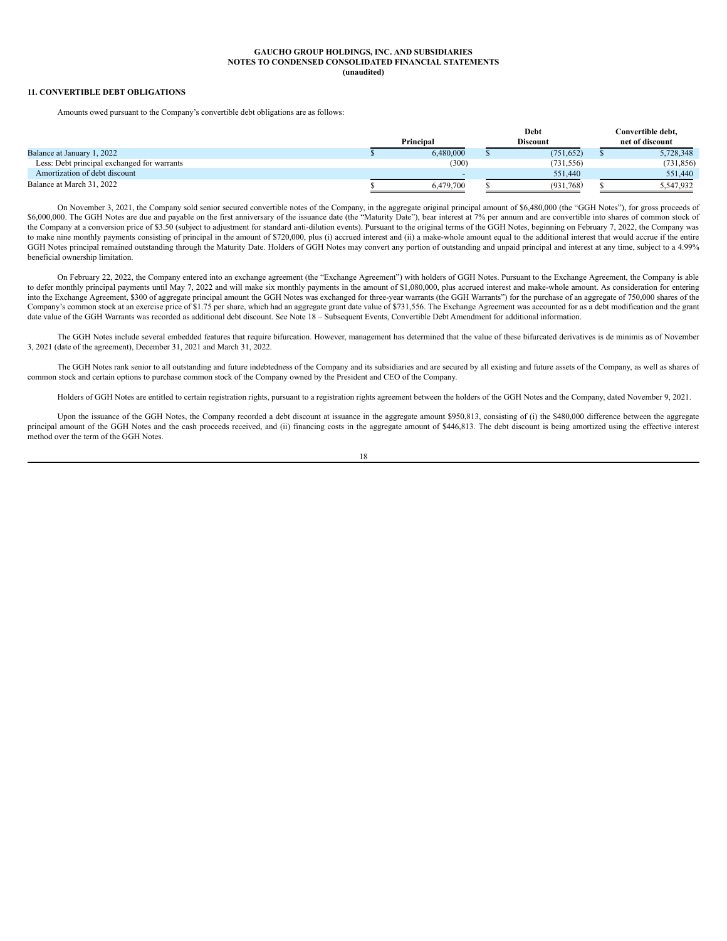### **11. CONVERTIBLE DEBT OBLIGATIONS**

Amounts owed pursuant to the Company's convertible debt obligations are as follows:

|                                             |           | Debt            |            |  | Convertible debt, |  |
|---------------------------------------------|-----------|-----------------|------------|--|-------------------|--|
|                                             | Principal | <b>Discount</b> |            |  | net of discount   |  |
| Balance at January 1, 2022                  | 6.480,000 |                 | (751,652)  |  | 5,728,348         |  |
| Less: Debt principal exchanged for warrants | (300)     |                 | (731, 556) |  | (731, 856)        |  |
| Amortization of debt discount               |           |                 | 551.440    |  | 551.440           |  |
| Balance at March 31, 2022                   | 6,479,700 |                 | (931,768)  |  | 5,547,932         |  |

On November 3, 2021, the Company sold senior secured convertible notes of the Company, in the aggregate original principal amount of \$6,480,000 (the "GGH Notes"), for gross proceeds of \$6,000,000. The GGH Notes are due and payable on the first anniversary of the issuance date (the "Maturity Date"), bear interest at 7% per annum and are convertible into shares of common stock of the Company at a conversion price of \$3.50 (subject to adjustment for standard anti-dilution events). Pursuant to the original terms of the GGH Notes, beginning on February 7, 2022, the Company was to make nine monthly payments consisting of principal in the amount of \$720,000, plus (i) accrued interest and (ii) a make-whole amount equal to the additional interest that would accrue if the entire GGH Notes principal remained outstanding through the Maturity Date. Holders of GGH Notes may convert any portion of outstanding and unpaid principal and interest at any time, subject to a 4.99% beneficial ownership limitation.

On February 22, 2022, the Company entered into an exchange agreement (the "Exchange Agreement") with holders of GGH Notes. Pursuant to the Exchange Agreement, the Company is able to defer monthly principal payments until May 7, 2022 and will make six monthly payments in the amount of \$1,080,000, plus accrued interest and make-whole amount. As consideration for entering into the Exchange Agreement, \$300 of aggregate principal amount the GGH Notes was exchanged for three-year warrants (the GGH Warrants") for the purchase of an aggregate of 750,000 shares of the Company's common stock at an exercise price of \$1.75 per share, which had an aggregate grant date value of \$731,556. The Exchange Agreement was accounted for as a debt modification and the grant date value of the GGH Warrants was recorded as additional debt discount. See Note 18 – Subsequent Events, Convertible Debt Amendment for additional information.

The GGH Notes include several embedded features that require bifurcation. However, management has determined that the value of these bifurcated derivatives is de minimis as of November 3, 2021 (date of the agreement), December 31, 2021 and March 31, 2022.

The GGH Notes rank senior to all outstanding and future indebtedness of the Company and its subsidiaries and are secured by all existing and future assets of the Company, as well as shares of common stock and certain options to purchase common stock of the Company owned by the President and CEO of the Company.

Holders of GGH Notes are entitled to certain registration rights, pursuant to a registration rights agreement between the holders of the GGH Notes and the Company, dated November 9, 2021.

Upon the issuance of the GGH Notes, the Company recorded a debt discount at issuance in the aggregate amount \$950,813, consisting of (i) the \$480,000 difference between the aggregate principal amount of the GGH Notes and the cash proceeds received, and (ii) financing costs in the aggregate amount of \$446,813. The debt discount is being amortized using the effective interest method over the term of the GGH Notes.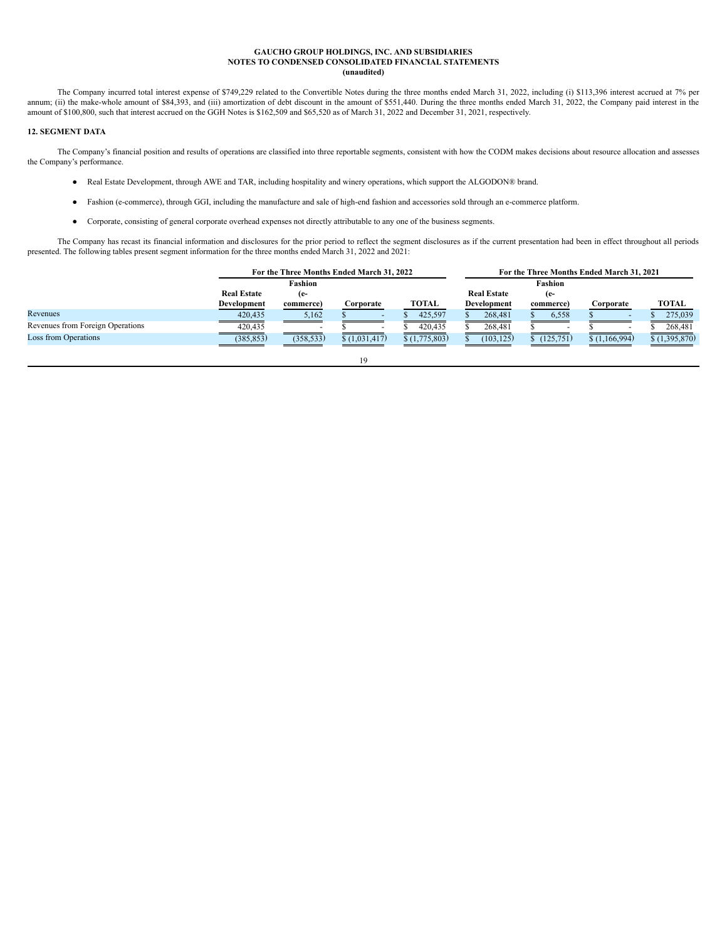The Company incurred total interest expense of \$749,229 related to the Convertible Notes during the three months ended March 31, 2022, including (i) \$113,396 interest accrued at 7% per annum; (ii) the make-whole amount of \$84,393, and (iii) amortization of debt discount in the amount of \$551,440. During the three months ended March 31, 2022, the Company paid interest in the amount of \$100,800, such that interest accrued on the GGH Notes is \$162,509 and \$65,520 as of March 31, 2022 and December 31, 2021, respectively.

### **12. SEGMENT DATA**

The Company's financial position and results of operations are classified into three reportable segments, consistent with how the CODM makes decisions about resource allocation and assesses the Company's performance.

- Real Estate Development, through AWE and TAR, including hospitality and winery operations, which support the ALGODON® brand.
- Fashion (e-commerce), through GGI, including the manufacture and sale of high-end fashion and accessories sold through an e-commerce platform.
- Corporate, consisting of general corporate overhead expenses not directly attributable to any one of the business segments.

The Company has recast its financial information and disclosures for the prior period to reflect the segment disclosures as if the current presentation had been in effect throughout all periods presented. The following tables present segment information for the three months ended March 31, 2022 and 2021:

|                                  |                    | For the Three Months Ended March 31, 2022 |                          |               |                    |           | For the Three Months Ended March 31, 2021 |             |  |
|----------------------------------|--------------------|-------------------------------------------|--------------------------|---------------|--------------------|-----------|-------------------------------------------|-------------|--|
|                                  |                    | Fashion                                   |                          |               |                    | Fashion   |                                           |             |  |
|                                  | <b>Real Estate</b> | (e-                                       |                          |               | <b>Real Estate</b> | (e-       |                                           |             |  |
|                                  | Development        | commerce)                                 | C <b>orporate</b>        | <b>TOTAL</b>  | Development        | commerce) | Corporate                                 | TOTAL       |  |
| Revenues                         | 420,435            | 5,162                                     |                          | 425,597       | 268,481            | 6,558     |                                           | 275,039     |  |
| Revenues from Foreign Operations | 420.435            |                                           | $\overline{\phantom{0}}$ | 420.435       | 268.481            |           |                                           | 268.481     |  |
| <b>Loss from Operations</b>      | (385, 853)         | (358, 533)                                | \$(1,031,417)            | \$(1,775,803) | (103.125)          | (125.751) | \$(1,166,994)                             | (1,395,870) |  |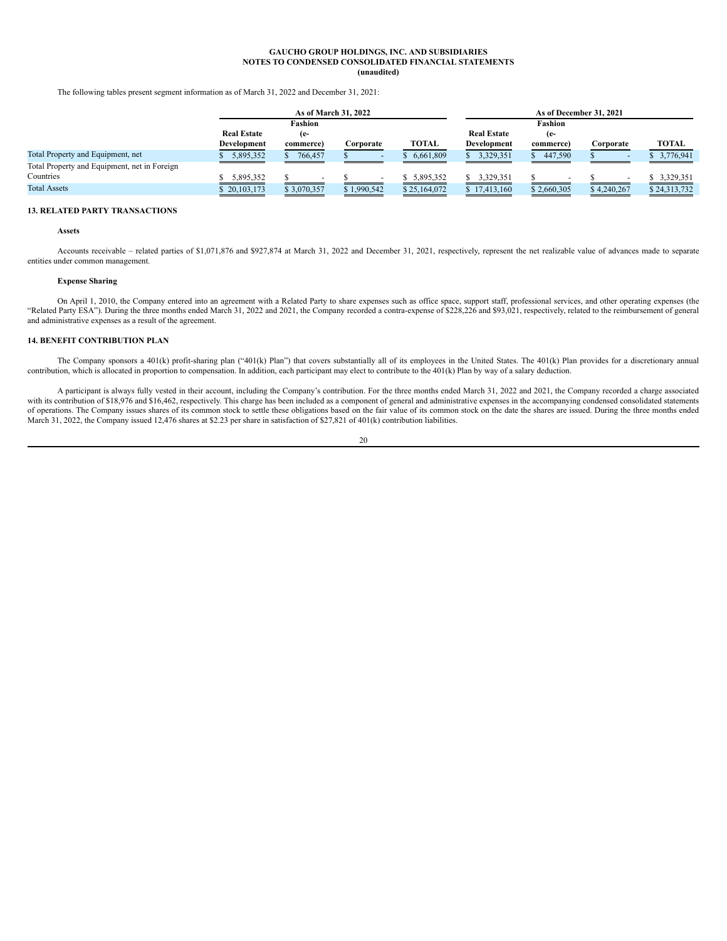The following tables present segment information as of March 31, 2022 and December 31, 2021:

|                                              |                    | As of March 31, 2022 |             |              | As of December 31, 2021 |             |             |              |
|----------------------------------------------|--------------------|----------------------|-------------|--------------|-------------------------|-------------|-------------|--------------|
|                                              |                    | Fashion              |             |              |                         | Fashion     |             |              |
|                                              | <b>Real Estate</b> | (e-                  |             |              | <b>Real Estate</b>      | (e-         |             |              |
|                                              | Development        | commerce)            | Corporate   | <b>TOTAL</b> | Development             | commerce)   | Corporate   | TOTAL        |
| Total Property and Equipment, net            | 5,895,352          | 766,457              |             | 6,661,809    | 3,329,351               | 447,590     |             | 3,776,941    |
| Total Property and Equipment, net in Foreign |                    |                      |             |              |                         |             |             |              |
| Countries                                    | 5,895,352          |                      |             | 5,895,352    | 3,329,351               |             |             | 3,329,351    |
| <b>Total Assets</b>                          | 20,103,173         | \$3,070,357          | \$1,990,542 | \$25,164,072 | \$17,413,160            | \$2,660,305 | \$4,240,267 | \$24,313,732 |

### **13. RELATED PARTY TRANSACTIONS**

#### **Assets**

Accounts receivable – related parties of \$1,071,876 and \$927,874 at March 31, 2022 and December 31, 2021, respectively, represent the net realizable value of advances made to separate entities under common management.

### **Expense Sharing**

On April 1, 2010, the Company entered into an agreement with a Related Party to share expenses such as office space, support staff, professional services, and other operating expenses (the "Related Party ESA"). During the three months ended March 31, 2022 and 2021, the Company recorded a contra-expense of \$228,226 and \$93,021, respectively, related to the reimbursement of general and administrative expenses as a result of the agreement.

### **14. BENEFIT CONTRIBUTION PLAN**

The Company sponsors a 401(k) profit-sharing plan ("401(k) Plan") that covers substantially all of its employees in the United States. The 401(k) Plan provides for a discretionary annual contribution, which is allocated in proportion to compensation. In addition, each participant may elect to contribute to the 401(k) Plan by way of a salary deduction.

A participant is always fully vested in their account, including the Company's contribution. For the three months ended March 31, 2022 and 2021, the Company recorded a charge associated with its contribution of \$18,976 and \$16,462, respectively. This charge has been included as a component of general and administrative expenses in the accompanying condensed consolidated statements of operations. The Company issues shares of its common stock to settle these obligations based on the fair value of its common stock on the date the shares are issued. During the three months ended March 31, 2022, the Company issued 12,476 shares at \$2.23 per share in satisfaction of \$27,821 of 401(k) contribution liabilities.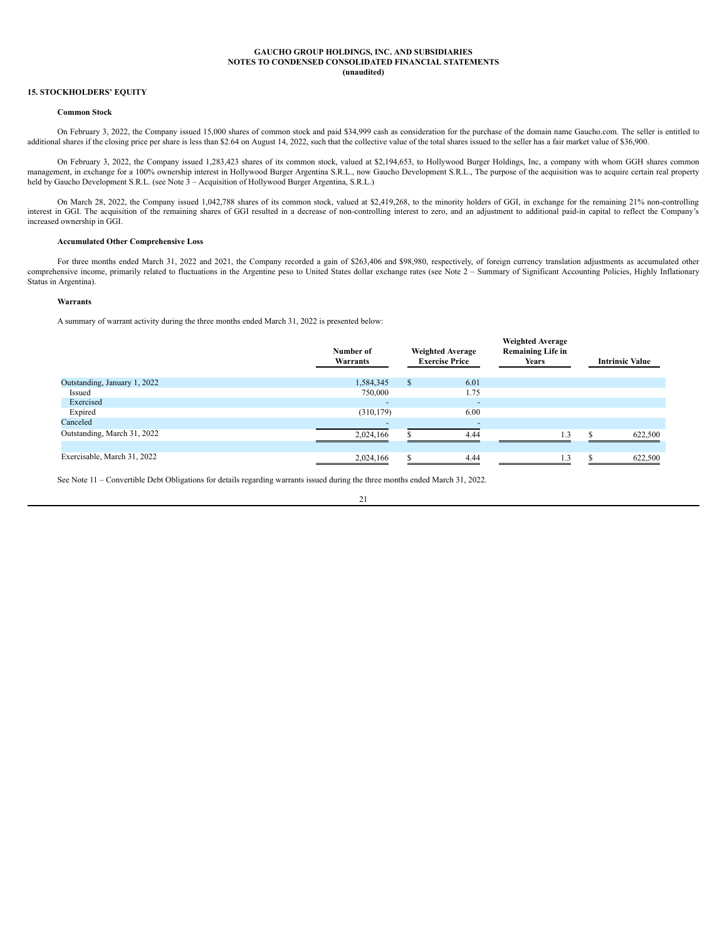### **15. STOCKHOLDERS' EQUITY**

### **Common Stock**

On February 3, 2022, the Company issued 15,000 shares of common stock and paid \$34,999 cash as consideration for the purchase of the domain name Gaucho.com. The seller is entitled to additional shares if the closing price per share is less than \$2.64 on August 14, 2022, such that the collective value of the total shares issued to the seller has a fair market value of \$36,900.

On February 3, 2022, the Company issued 1,283,423 shares of its common stock, valued at \$2,194,653, to Hollywood Burger Holdings, Inc, a company with whom GGH shares common management, in exchange for a 100% ownership interest in Hollywood Burger Argentina S.R.L., now Gaucho Development S.R.L., The purpose of the acquisition was to acquire certain real property held by Gaucho Development S.R.L. (see Note  $3 -$  Acquisition of Hollywood Burger Argentina, S.R.L.)

On March 28, 2022, the Company issued 1,042,788 shares of its common stock, valued at \$2,419,268, to the minority holders of GGI, in exchange for the remaining 21% non-controlling interest in GGI. The acquisition of the remaining shares of GGI resulted in a decrease of non-controlling interest to zero, and an adjustment to additional paid-in capital to reflect the Company's increased ownership in GGI.

### **Accumulated Other Comprehensive Loss**

For three months ended March 31, 2022 and 2021, the Company recorded a gain of \$263,406 and \$98,980, respectively, of foreign currency translation adjustments as accumulated other comprehensive income, primarily related to fluctuations in the Argentine peso to United States dollar exchange rates (see Note 2 - Summary of Significant Accounting Policies, Highly Inflationary Status in Argentina).

**Weighted Average**

#### **Warrants**

A summary of warrant activity during the three months ended March 31, 2022 is presented below:

|                              | Number of<br>Warrants    | <b>Weighted Average</b><br><b>Exercise Price</b> |      | weighted Average<br><b>Remaining Life in</b><br>Years | <b>Intrinsic Value</b> |         |
|------------------------------|--------------------------|--------------------------------------------------|------|-------------------------------------------------------|------------------------|---------|
| Outstanding, January 1, 2022 | 1,584,345                | <sup>\$</sup>                                    | 6.01 |                                                       |                        |         |
| Issued                       | 750,000                  |                                                  | 1.75 |                                                       |                        |         |
| Exercised                    | ۰                        |                                                  |      |                                                       |                        |         |
| Expired                      | (310, 179)               |                                                  | 6.00 |                                                       |                        |         |
| Canceled                     | $\overline{\phantom{a}}$ |                                                  |      |                                                       |                        |         |
| Outstanding, March 31, 2022  | 2,024,166                |                                                  | 4.44 | 1.3                                                   | S                      | 622,500 |
| Exercisable, March 31, 2022  | 2,024,166                |                                                  | 4.44 | 13                                                    |                        | 622,500 |

See Note 11 – Convertible Debt Obligations for details regarding warrants issued during the three months ended March 31, 2022.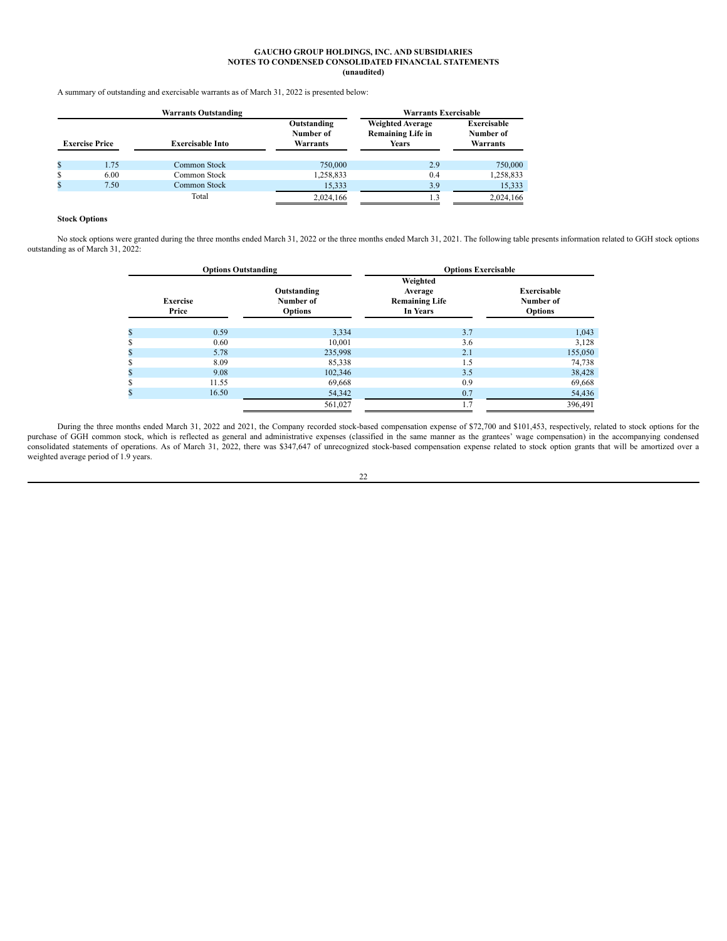A summary of outstanding and exercisable warrants as of March 31, 2022 is presented below:

| <b>Warrants Outstanding</b> |                       |                         | <b>Warrants Exercisable</b>          |                                                                     |                                      |
|-----------------------------|-----------------------|-------------------------|--------------------------------------|---------------------------------------------------------------------|--------------------------------------|
|                             | <b>Exercise Price</b> | <b>Exercisable Into</b> | Outstanding<br>Number of<br>Warrants | <b>Weighted Average</b><br><b>Remaining Life in</b><br><b>Years</b> | Exercisable<br>Number of<br>Warrants |
|                             |                       |                         |                                      |                                                                     |                                      |
| \$                          | 1.75                  | Common Stock            | 750,000                              | 2.9                                                                 | 750,000                              |
| \$                          | 6.00                  | Common Stock            | 1,258,833                            | 0.4                                                                 | 1,258,833                            |
| \$                          | 7.50                  | Common Stock            | 15,333                               | 3.9                                                                 | 15,333                               |
|                             |                       | Total                   | 2,024,166                            |                                                                     | 2,024,166                            |

### **Stock Options**

No stock options were granted during the three months ended March 31, 2022 or the three months ended March 31, 2021. The following table presents information related to GGH stock options outstanding as of March 31, 2022:

| <b>Options Outstanding</b> |                          |                                            | <b>Options Exercisable</b>                                      |                                                   |  |  |
|----------------------------|--------------------------|--------------------------------------------|-----------------------------------------------------------------|---------------------------------------------------|--|--|
|                            | <b>Exercise</b><br>Price | Outstanding<br>Number of<br><b>Options</b> | Weighted<br>Average<br><b>Remaining Life</b><br><b>In Years</b> | <b>Exercisable</b><br>Number of<br><b>Options</b> |  |  |
| \$                         | 0.59                     | 3,334                                      | 3.7                                                             | 1,043                                             |  |  |
| \$                         | 0.60                     | 10,001                                     | 3.6                                                             | 3,128                                             |  |  |
| \$                         | 5.78                     | 235,998                                    | 2.1                                                             | 155,050                                           |  |  |
| \$                         | 8.09                     | 85,338                                     | 1.5                                                             | 74,738                                            |  |  |
| \$                         | 9.08                     | 102,346                                    | 3.5                                                             | 38,428                                            |  |  |
| \$                         | 11.55                    | 69,668                                     | 0.9                                                             | 69,668                                            |  |  |
| \$                         | 16.50                    | 54,342                                     | 0.7                                                             | 54,436                                            |  |  |
|                            |                          | 561,027                                    | 1.7                                                             | 396,491                                           |  |  |

During the three months ended March 31, 2022 and 2021, the Company recorded stock-based compensation expense of \$72,700 and \$101,453, respectively, related to stock options for the purchase of GGH common stock, which is reflected as general and administrative expenses (classified in the same manner as the grantees' wage compensation) in the accompanying condensed consolidated statements of operations. As of March 31, 2022, there was \$347,647 of unrecognized stock-based compensation expense related to stock option grants that will be amortized over a weighted average period of 1.9 years.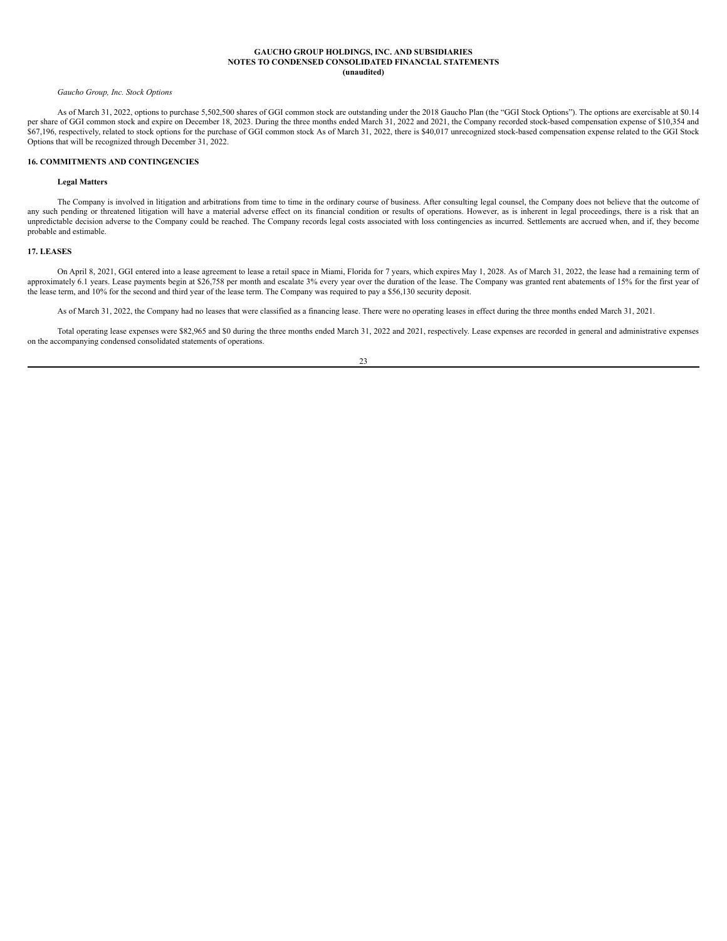### *Gaucho Group, Inc. Stock Options*

As of March 31, 2022, options to purchase 5,502,500 shares of GGI common stock are outstanding under the 2018 Gaucho Plan (the "GGI Stock Options"). The options are exercisable at \$0.14 per share of GGI common stock and expire on December 18, 2023. During the three months ended March 31, 2022 and 2021, the Company recorded stock-based compensation expense of \$10,354 and \$67,196, respectively, related to stock options for the purchase of GGI common stock As of March 31, 2022, there is \$40,017 unrecognized stock-based compensation expense related to the GGI Stock Options that will be recognized through December 31, 2022.

### **16. COMMITMENTS AND CONTINGENCIES**

### **Legal Matters**

The Company is involved in litigation and arbitrations from time to time in the ordinary course of business. After consulting legal counsel, the Company does not believe that the outcome of any such pending or threatened litigation will have a material adverse effect on its financial condition or results of operations. However, as is inherent in legal proceedings, there is a risk that an unpredictable decision adverse to the Company could be reached. The Company records legal costs associated with loss contingencies as incurred. Settlements are accrued when, and if, they become probable and estimable.

### **17. LEASES**

On April 8, 2021, GGI entered into a lease agreement to lease a retail space in Miami, Florida for 7 years, which expires May 1, 2028. As of March 31, 2022, the lease had a remaining term of approximately 6.1 years. Lease payments begin at \$26,758 per month and escalate 3% every year over the duration of the lease. The Company was granted rent abatements of 15% for the first year of the lease term, and 10% for the second and third year of the lease term. The Company was required to pay a \$56,130 security deposit.

As of March 31, 2022, the Company had no leases that were classified as a financing lease. There were no operating leases in effect during the three months ended March 31, 2021.

Total operating lease expenses were \$82,965 and \$0 during the three months ended March 31, 2022 and 2021, respectively. Lease expenses are recorded in general and administrative expenses on the accompanying condensed consolidated statements of operations.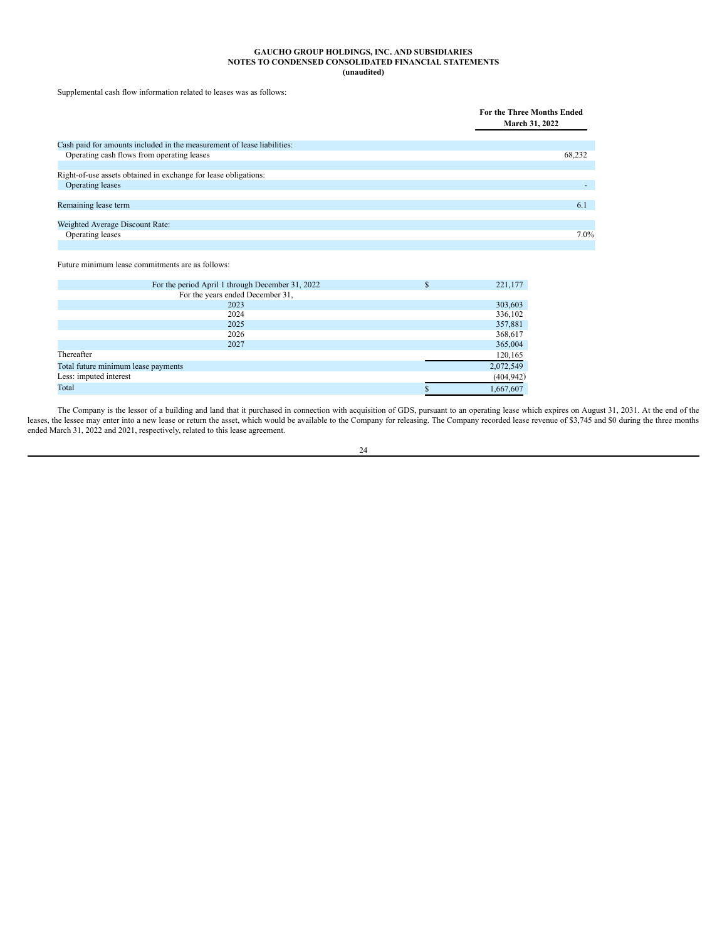Supplemental cash flow information related to leases was as follows:

|                                                                         | <b>For the Three Months Ended</b><br>March 31, 2022 |  |
|-------------------------------------------------------------------------|-----------------------------------------------------|--|
|                                                                         |                                                     |  |
| Cash paid for amounts included in the measurement of lease liabilities: |                                                     |  |
| Operating cash flows from operating leases                              | 68,232                                              |  |
|                                                                         |                                                     |  |
| Right-of-use assets obtained in exchange for lease obligations:         |                                                     |  |
| Operating leases                                                        |                                                     |  |
|                                                                         |                                                     |  |
| Remaining lease term                                                    | 6.1                                                 |  |
|                                                                         |                                                     |  |
| Weighted Average Discount Rate:                                         |                                                     |  |
| Operating leases                                                        | 7.0%                                                |  |
|                                                                         |                                                     |  |

Future minimum lease commitments are as follows:

| For the period April 1 through December 31, 2022 | \$<br>221,177 |
|--------------------------------------------------|---------------|
| For the years ended December 31.                 |               |
| 2023                                             | 303,603       |
| 2024                                             | 336,102       |
| 2025                                             | 357,881       |
| 2026                                             | 368,617       |
| 2027                                             | 365,004       |
| Thereafter                                       | 120,165       |
| Total future minimum lease payments              | 2,072,549     |
| Less: imputed interest                           | (404, 942)    |
| Total                                            | 1,667,607     |

The Company is the lessor of a building and land that it purchased in connection with acquisition of GDS, pursuant to an operating lease which expires on August 31, 2031. At the end of the leases, the lessee may enter into a new lease or return the asset, which would be available to the Company for releasing. The Company recorded lease revenue of \$3,745 and \$0 during the three months ended March 31, 2022 and 2021, respectively, related to this lease agreement.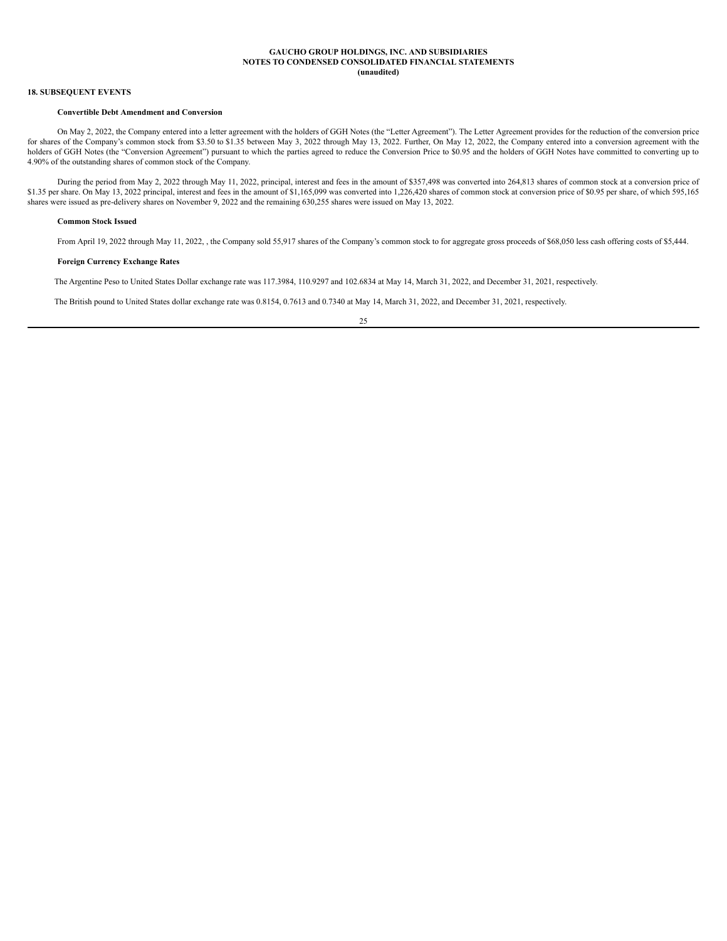### **18. SUBSEQUENT EVENTS**

#### **Convertible Debt Amendment and Conversion**

On May 2, 2022, the Company entered into a letter agreement with the holders of GGH Notes (the "Letter Agreement"). The Letter Agreement provides for the reduction of the conversion price for shares of the Company's common stock from \$3.50 to \$1.35 between May 3, 2022 through May 13, 2022. Further, On May 12, 2022, the Company entered into a conversion agreement with the holders of GGH Notes (the "Conversion Agreement") pursuant to which the parties agreed to reduce the Conversion Price to \$0.95 and the holders of GGH Notes have committed to converting up to 4.90% of the outstanding shares of common stock of the Company.

During the period from May 2, 2022 through May 11, 2022, principal, interest and fees in the amount of \$357,498 was converted into 264,813 shares of common stock at a conversion price of \$1.35 per share. On May 13, 2022 principal, interest and fees in the amount of \$1,165,099 was converted into 1,226,420 shares of common stock at conversion price of \$0.95 per share, of which 595,165 shares were issued as pre-delivery shares on November 9, 2022 and the remaining 630,255 shares were issued on May 13, 2022.

#### **Common Stock Issued**

From April 19, 2022 through May 11, 2022,, the Company sold 55,917 shares of the Company's common stock to for aggregate gross proceeds of \$68,050 less cash offering costs of \$5,444.

#### **Foreign Currency Exchange Rates**

The Argentine Peso to United States Dollar exchange rate was 117.3984, 110.9297 and 102.6834 at May 14, March 31, 2022, and December 31, 2021, respectively.

The British pound to United States dollar exchange rate was 0.8154, 0.7613 and 0.7340 at May 14, March 31, 2022, and December 31, 2021, respectively.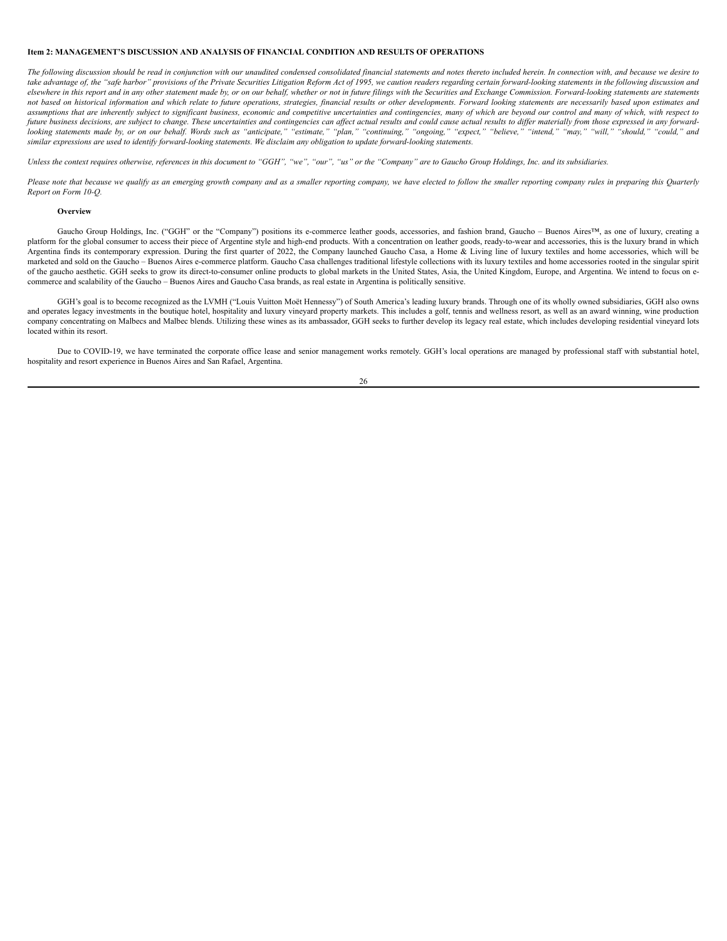### <span id="page-27-0"></span>**Item 2: MANAGEMENT'S DISCUSSION AND ANALYSIS OF FINANCIAL CONDITION AND RESULTS OF OPERATIONS**

The following discussion should be read in conjunction with our unaudited condensed consolidated financial statements and notes thereto included herein. In connection with, and because we desire to take advantage of, the "safe harbor" provisions of the Private Securities Litigation Reform Act of 1995, we caution readers regarding certain forward-looking statements in the following discussion and elsewhere in this report and in any other statement made by, or on our behalf, whether or not in future filings with the Securities and Exchange Commission. Forward-looking statements are statements not based on historical information and which relate to future operations, strategies, financial results or other developments. Forward looking statements are necessarily based upon estimates and assumptions that are inherently subject to significant business, economic and competitive uncertainties and contingencies, many of which are beyond our control and many of which, with respect to future business decisions, are subject to change. These uncertainties and contingencies can affect actual results and could cause actual results to differ materially from those expressed in any forwardlooking statements made by, or on our behalf. Words such as "anticipate," "estimate," "plan," "continuing," "ongoing," "expect," "believe," "intend," "may," "will," "should," "could," and similar expressions are used to identify forward-looking statements. We disclaim any obligation to update forward-looking statements.

Unless the context requires otherwise, references in this document to "GGH", "we", "our", "us" or the "Company" are to Gaucho Group Holdings, Inc. and its subsidiaries.

Please note that because we qualify as an emerging growth company and as a smaller reporting company, we have elected to follow the smaller reporting company rules in preparing this Quarterly *Report on Form 10-Q.*

#### **Overview**

Gaucho Group Holdings, Inc. ("GGH" or the "Company") positions its e-commerce leather goods, accessories, and fashion brand, Gaucho – Buenos Aires™, as one of luxury, creating a platform for the global consumer to access their piece of Argentine style and high-end products. With a concentration on leather goods, ready-to-wear and accessories, this is the luxury brand in which Argentina finds its contemporary expression. During the first quarter of 2022, the Company launched Gaucho Casa, a Home & Living line of luxury textiles and home accessories, which will be marketed and sold on the Gaucho – Buenos Aires e-commerce platform. Gaucho Casa challenges traditional lifestyle collections with its luxury textiles and home accessories rooted in the singular spirit of the gaucho aesthetic. GGH seeks to grow its direct-to-consumer online products to global markets in the United States, Asia, the United Kingdom, Europe, and Argentina. We intend to focus on ecommerce and scalability of the Gaucho – Buenos Aires and Gaucho Casa brands, as real estate in Argentina is politically sensitive.

GGH's goal is to become recognized as the LVMH ("Louis Vuitton Moët Hennessy") of South America's leading luxury brands. Through one of its wholly owned subsidiaries, GGH also owns and operates legacy investments in the boutique hotel, hospitality and luxury vineyard property markets. This includes a golf, tennis and wellness resort, as well as an award winning, wine production company concentrating on Malbecs and Malbec blends. Utilizing these wines as its ambassador, GGH seeks to further develop its legacy real estate, which includes developing residential vineyard lots located within its resort.

Due to COVID-19, we have terminated the corporate office lease and senior management works remotely. GGH's local operations are managed by professional staff with substantial hotel, hospitality and resort experience in Buenos Aires and San Rafael, Argentina.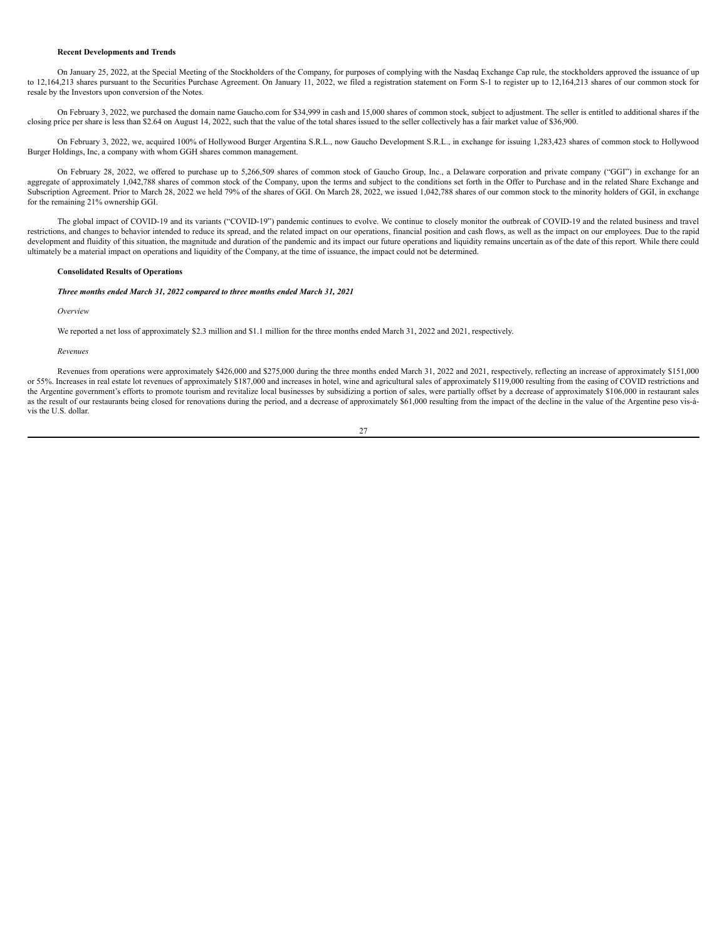#### **Recent Developments and Trends**

On January 25, 2022, at the Special Meeting of the Stockholders of the Company, for purposes of complying with the Nasdaq Exchange Cap rule, the stockholders approved the issuance of up to 12,164,213 shares pursuant to the Securities Purchase Agreement. On January 11, 2022, we filed a registration statement on Form S-1 to register up to 12,164,213 shares of our common stock for resale by the Investors upon conversion of the Notes.

On February 3, 2022, we purchased the domain name Gaucho.com for \$34,999 in cash and 15,000 shares of common stock, subject to adjustment. The seller is entitled to additional shares if the closing price per share is less than \$2.64 on August 14, 2022, such that the value of the total shares issued to the seller collectively has a fair market value of \$36,900.

On February 3, 2022, we, acquired 100% of Hollywood Burger Argentina S.R.L., now Gaucho Development S.R.L., in exchange for issuing 1,283,423 shares of common stock to Hollywood Burger Holdings, Inc, a company with whom GGH shares common management.

On February 28, 2022, we offered to purchase up to 5,266,509 shares of common stock of Gaucho Group, Inc., a Delaware corporation and private company ("GGI") in exchange for an aggregate of approximately 1,042,788 shares of common stock of the Company, upon the terms and subject to the conditions set forth in the Offer to Purchase and in the related Share Exchange and Subscription Agreement. Prior to March 28, 2022 we held 79% of the shares of GGI. On March 28, 2022, we issued 1,042,788 shares of our common stock to the minority holders of GGI, in exchange for the remaining 21% ownership GGI.

The global impact of COVID-19 and its variants ("COVID-19") pandemic continues to evolve. We continue to closely monitor the outbreak of COVID-19 and the related business and travel restrictions, and changes to behavior intended to reduce its spread, and the related impact on our operations, financial position and cash flows, as well as the impact on our employees. Due to the rapid development and fluidity of this situation, the magnitude and duration of the pandemic and its impact our future operations and liquidity remains uncertain as of the date of this report. While there could ultimately be a material impact on operations and liquidity of the Company, at the time of issuance, the impact could not be determined.

#### **Consolidated Results of Operations**

*Three months ended March 31, 2022 compared to three months ended March 31, 2021*

*Overview*

We reported a net loss of approximately \$2.3 million and \$1.1 million for the three months ended March 31, 2022 and 2021, respectively.

*Revenues*

Revenues from operations were approximately \$426,000 and \$275,000 during the three months ended March 31, 2022 and 2021, respectively, reflecting an increase of approximately \$151,000 or 55%. Increases in real estate lot revenues of approximately \$187,000 and increases in hotel, wine and agricultural sales of approximately \$119,000 resulting from the easing of COVID restrictions and the Argentine government's efforts to promote tourism and revitalize local businesses by subsidizing a portion of sales, were partially offset by a decrease of approximately \$106,000 in restaurant sales as the result of our restaurants being closed for renovations during the period, and a decrease of approximately \$61,000 resulting from the impact of the decline in the value of the Argentine peso vis-àvis the U.S. dollar.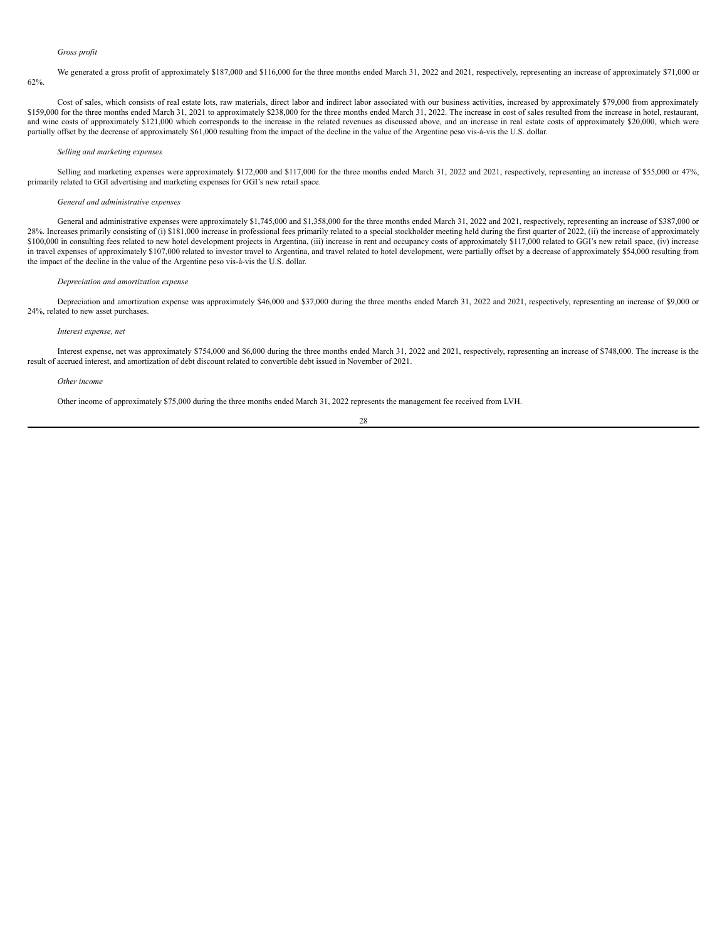### *Gross profit*

We generated a gross profit of approximately \$187,000 and \$116,000 for the three months ended March 31, 2022 and 2021, respectively, representing an increase of approximately \$71,000 or 62%.

Cost of sales, which consists of real estate lots, raw materials, direct labor and indirect labor associated with our business activities, increased by approximately \$79,000 from approximately \$159,000 for the three months ended March 31, 2021 to approximately \$238,000 for the three months ended March 31, 2022. The increase in cost of sales resulted from the increase in hotel, restaurant, and wine costs of approximately \$121,000 which corresponds to the increase in the related revenues as discussed above, and an increase in real estate costs of approximately \$20,000, which were partially offset by the decrease of approximately \$61,000 resulting from the impact of the decline in the value of the Argentine peso vis-à-vis the U.S. dollar.

#### *Selling and marketing expenses*

Selling and marketing expenses were approximately \$172,000 and \$117,000 for the three months ended March 31, 2022 and 2021, respectively, representing an increase of \$55,000 or 47%, primarily related to GGI advertising and marketing expenses for GGI's new retail space.

#### *General and administrative expenses*

General and administrative expenses were approximately \$1,745,000 and \$1,358,000 for the three months ended March 31, 2022 and 2021, respectively, representing an increase of \$387,000 or 28%. Increases primarily consisting of (i) \$181,000 increase in professional fees primarily related to a special stockholder meeting held during the first quarter of 2022, (ii) the increase of approximately \$100,000 in consulting fees related to new hotel development projects in Argentina, (iii) increase in rent and occupancy costs of approximately \$117,000 related to GGI's new retail space, (iv) increase in travel expenses of approximately \$107,000 related to investor travel to Argentina, and travel related to hotel development, were partially offset by a decrease of approximately \$54,000 resulting from the impact of the decline in the value of the Argentine peso vis-à-vis the U.S. dollar.

#### *Depreciation and amortization expense*

Depreciation and amortization expense was approximately \$46,000 and \$37,000 during the three months ended March 31, 2022 and 2021, respectively, representing an increase of \$9,000 or 24%, related to new asset purchases.

### *Interest expense, net*

Interest expense, net was approximately \$754,000 and \$6,000 during the three months ended March 31, 2022 and 2021, respectively, representing an increase of \$748,000. The increase is the result of accrued interest, and amortization of debt discount related to convertible debt issued in November of 2021.

#### *Other income*

Other income of approximately \$75,000 during the three months ended March 31, 2022 represents the management fee received from LVH.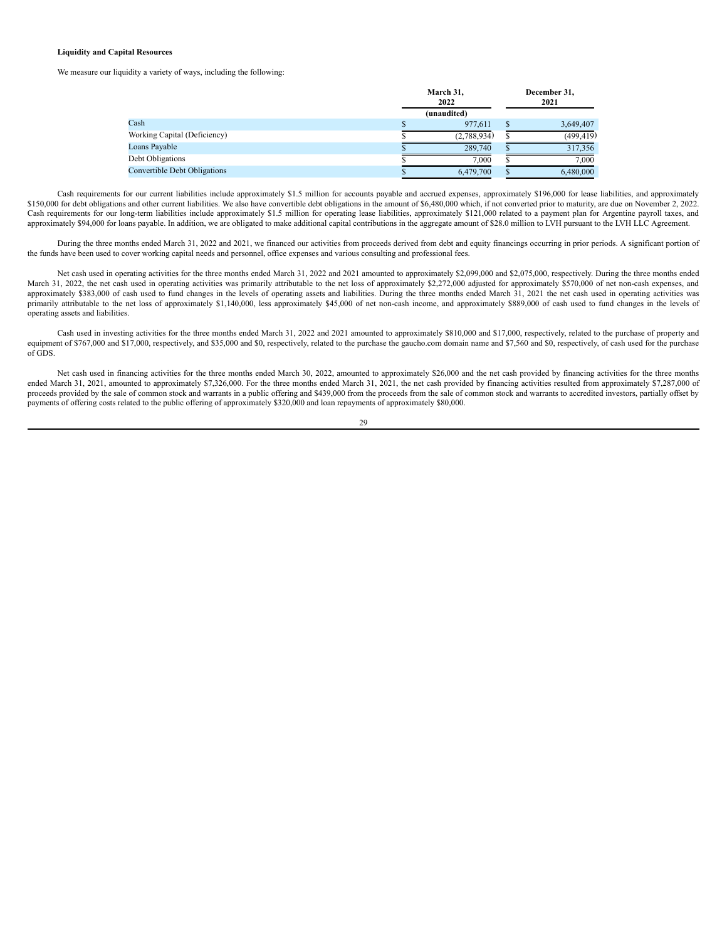#### **Liquidity and Capital Resources**

We measure our liquidity a variety of ways, including the following:

|                              | March 31,<br>2022 |  | December 31,<br>2021 |  |  |
|------------------------------|-------------------|--|----------------------|--|--|
|                              | (unaudited)       |  |                      |  |  |
| Cash                         | 977,611           |  | 3,649,407            |  |  |
| Working Capital (Deficiency) | (2,788,934)       |  | (499.419)            |  |  |
| Loans Payable                | 289,740           |  | 317,356              |  |  |
| Debt Obligations             | 7.000             |  | 7.000                |  |  |
| Convertible Debt Obligations | 6,479,700         |  | 6,480,000            |  |  |

Cash requirements for our current liabilities include approximately \$1.5 million for accounts payable and accrued expenses, approximately \$196,000 for lease liabilities, and approximately \$150,000 for debt obligations and other current liabilities. We also have convertible debt obligations in the amount of \$6,480,000 which, if not converted prior to maturity, are due on November 2, 2022. Cash requirements for our long-term liabilities include approximately \$1.5 million for operating lease liabilities, approximately \$121,000 related to a payment plan for Argentine payroll taxes, and approximately \$94,000 for loans payable. In addition, we are obligated to make additional capital contributions in the aggregate amount of \$28.0 million to LVH pursuant to the LVH LLC Agreement.

During the three months ended March 31, 2022 and 2021, we financed our activities from proceeds derived from debt and equity financings occurring in prior periods. A significant portion of the funds have been used to cover working capital needs and personnel, office expenses and various consulting and professional fees.

Net cash used in operating activities for the three months ended March 31, 2022 and 2021 amounted to approximately \$2,099,000 and \$2,075,000, respectively. During the three months ended March 31, 2022, the net cash used in operating activities was primarily attributable to the net loss of approximately \$2,272,000 adjusted for approximately \$570,000 of net non-cash expenses, and approximately \$383,000 of cash used to fund changes in the levels of operating assets and liabilities. During the three months ended March 31, 2021 the net cash used in operating activities was primarily attributable to the net loss of approximately \$1,140,000, less approximately \$45,000 of net non-cash income, and approximately \$889,000 of cash used to fund changes in the levels of operating assets and liabilities.

Cash used in investing activities for the three months ended March 31, 2022 and 2021 amounted to approximately \$810,000 and \$17,000, respectively, related to the purchase of property and equipment of \$767,000 and \$17,000, respectively, and \$35,000 and \$0, respectively, related to the purchase the gaucho.com domain name and \$7,560 and \$0, respectively, of cash used for the purchase of GDS.

Net cash used in financing activities for the three months ended March 30, 2022, amounted to approximately \$26,000 and the net cash provided by financing activities for the three months ended March 31, 2021, amounted to approximately \$7,326,000. For the three months ended March 31, 2021, the net cash provided by financing activities resulted from approximately \$7,287,000 of proceeds provided by the sale of common stock and warrants in a public offering and \$439,000 from the proceeds from the sale of common stock and warrants to accredited investors, partially offset by payments of offering costs related to the public offering of approximately \$320,000 and loan repayments of approximately \$80,000.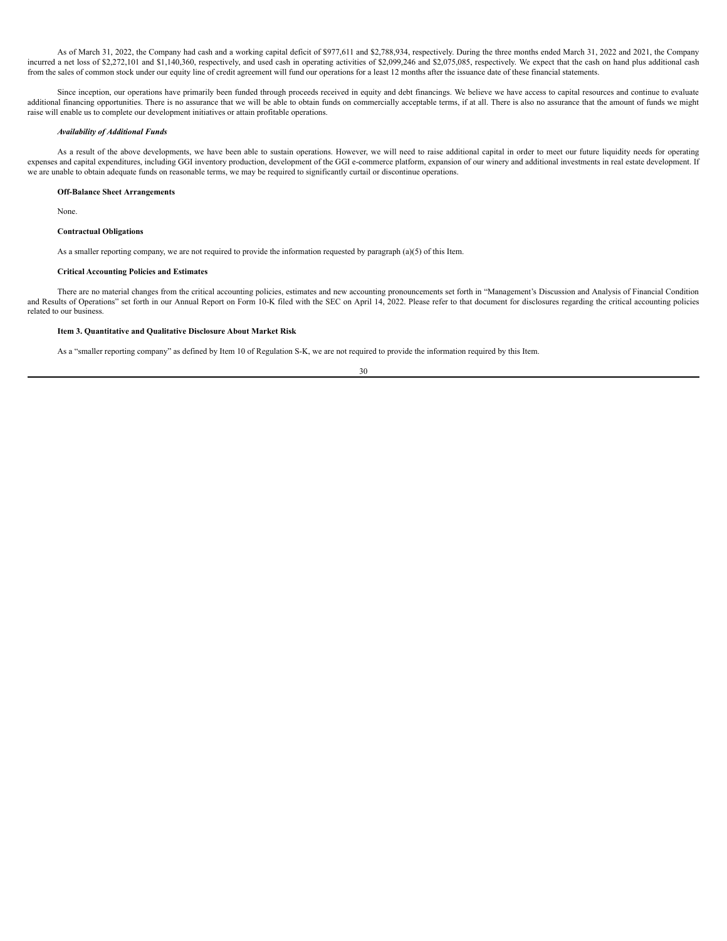As of March 31, 2022, the Company had cash and a working capital deficit of \$977,611 and \$2,788,934, respectively. During the three months ended March 31, 2022 and 2021, the Company incurred a net loss of \$2,272,101 and \$1,140,360, respectively, and used cash in operating activities of \$2,099,246 and \$2,075,085, respectively. We expect that the cash on hand plus additional cash from the sales of common stock under our equity line of credit agreement will fund our operations for a least 12 months after the issuance date of these financial statements.

Since inception, our operations have primarily been funded through proceeds received in equity and debt financings. We believe we have access to capital resources and continue to evaluate additional financing opportunities. There is no assurance that we will be able to obtain funds on commercially acceptable terms, if at all. There is also no assurance that the amount of funds we might raise will enable us to complete our development initiatives or attain profitable operations.

### *Availability of Additional Funds*

As a result of the above developments, we have been able to sustain operations. However, we will need to raise additional capital in order to meet our future liquidity needs for operating expenses and capital expenditures, including GGI inventory production, development of the GGI e-commerce platform, expansion of our winery and additional investments in real estate development. If we are unable to obtain adequate funds on reasonable terms, we may be required to significantly curtail or discontinue operations.

### **Off-Balance Sheet Arrangements**

None.

### **Contractual Obligations**

As a smaller reporting company, we are not required to provide the information requested by paragraph (a)(5) of this Item.

### **Critical Accounting Policies and Estimates**

There are no material changes from the critical accounting policies, estimates and new accounting pronouncements set forth in "Management's Discussion and Analysis of Financial Condition and Results of Operations" set forth in our Annual Report on Form 10-K filed with the SEC on April 14, 2022. Please refer to that document for disclosures regarding the critical accounting policies related to our business.

### <span id="page-31-0"></span>**Item 3. Quantitative and Qualitative Disclosure About Market Risk**

As a "smaller reporting company" as defined by Item 10 of Regulation S-K, we are not required to provide the information required by this Item.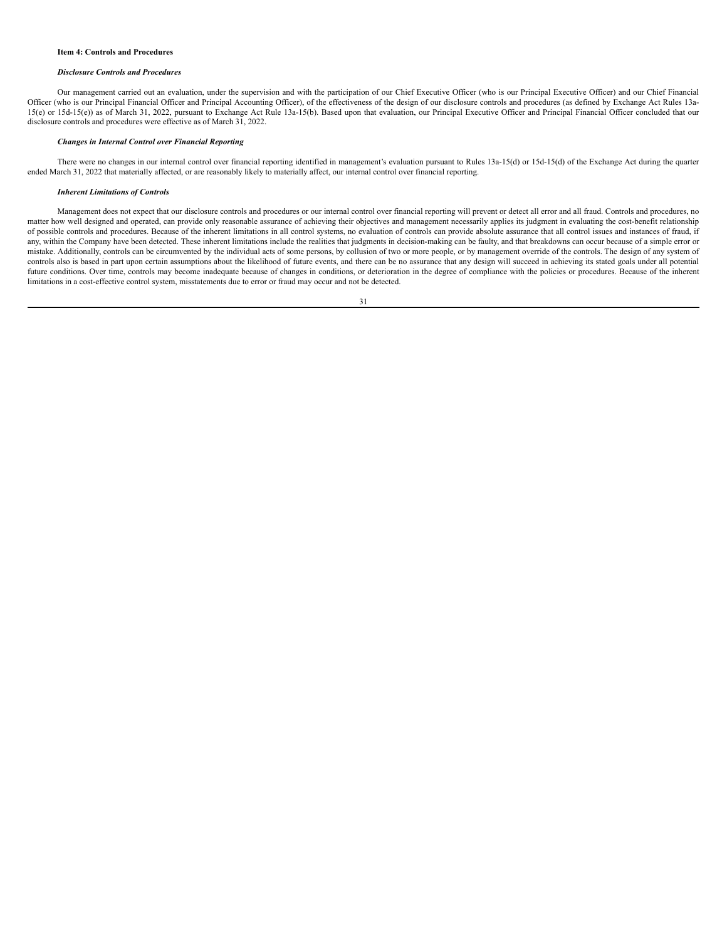#### <span id="page-32-0"></span>**Item 4: Controls and Procedures**

### *Disclosure Controls and Procedures*

Our management carried out an evaluation, under the supervision and with the participation of our Chief Executive Officer (who is our Principal Executive Officer) and our Chief Financial Officer (who is our Principal Financial Officer and Principal Accounting Officer), of the effectiveness of the design of our disclosure controls and procedures (as defined by Exchange Act Rules 13a-15(e) or 15d-15(e)) as of March 31, 2022, pursuant to Exchange Act Rule 13a-15(b). Based upon that evaluation, our Principal Executive Officer and Principal Financial Officer concluded that our disclosure controls and procedures were effective as of March 31, 2022.

#### *Changes in Internal Control over Financial Reporting*

There were no changes in our internal control over financial reporting identified in management's evaluation pursuant to Rules 13a-15(d) or 15d-15(d) of the Exchange Act during the quarter ended March 31, 2022 that materially affected, or are reasonably likely to materially affect, our internal control over financial reporting.

### *Inherent Limitations of Controls*

Management does not expect that our disclosure controls and procedures or our internal control over financial reporting will prevent or detect all error and all fraud. Controls and procedures, no matter how well designed and operated, can provide only reasonable assurance of achieving their objectives and management necessarily applies its judgment in evaluating the cost-benefit relationship of possible controls and procedures. Because of the inherent limitations in all control systems, no evaluation of controls can provide absolute assurance that all control issues and instances of fraud, if any, within the Company have been detected. These inherent limitations include the realities that judgments in decision-making can be faulty, and that breakdowns can occur because of a simple error or mistake. Additionally, controls can be circumvented by the individual acts of some persons, by collusion of two or more people, or by management override of the controls. The design of any system of controls also is based in part upon certain assumptions about the likelihood of future events, and there can be no assurance that any design will succeed in achieving its stated goals under all potential future conditions. Over time, controls may become inadequate because of changes in conditions, or deterioration in the degree of compliance with the policies or procedures. Because of the inherent limitations in a cost-effective control system, misstatements due to error or fraud may occur and not be detected.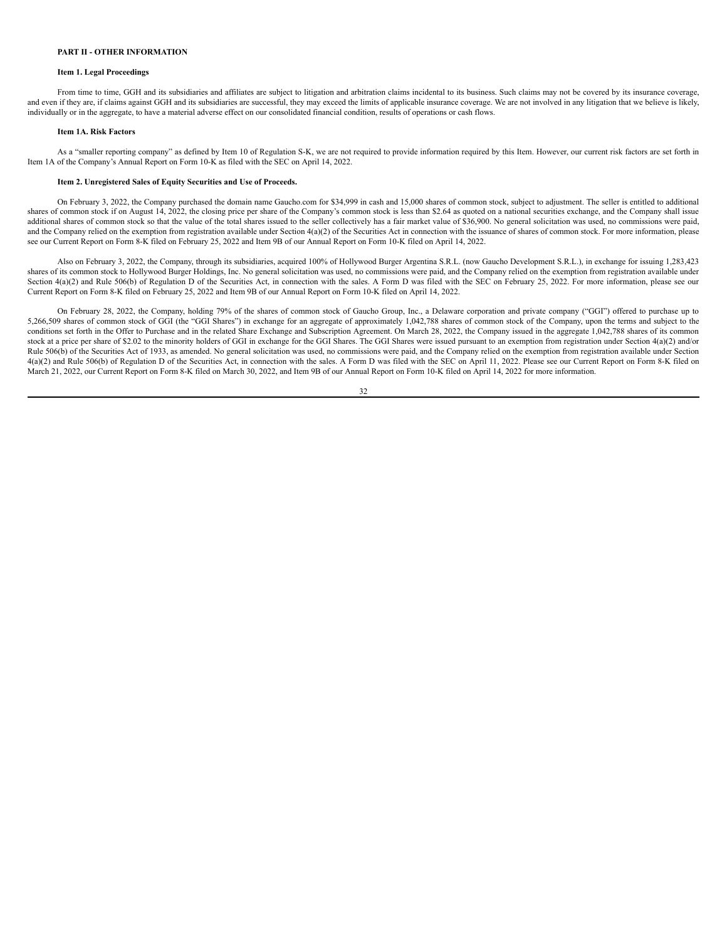### <span id="page-33-0"></span>**PART II - OTHER INFORMATION**

### **Item 1. Legal Proceedings**

<span id="page-33-1"></span>From time to time, GGH and its subsidiaries and affiliates are subject to litigation and arbitration claims incidental to its business. Such claims may not be covered by its insurance coverage, and even if they are, if claims against GGH and its subsidiaries are successful, they may exceed the limits of applicable insurance coverage. We are not involved in any litigation that we believe is likely, individually or in the aggregate, to have a material adverse effect on our consolidated financial condition, results of operations or cash flows.

### **Item 1A. Risk Factors**

<span id="page-33-2"></span>As a "smaller reporting company" as defined by Item 10 of Regulation S-K, we are not required to provide information required by this Item. However, our current risk factors are set forth in Item 1A of the Company's Annual Report on Form 10-K as filed with the SEC on April 14, 2022.

### **Item 2. Unregistered Sales of Equity Securities and Use of Proceeds.**

<span id="page-33-3"></span>On February 3, 2022, the Company purchased the domain name Gaucho.com for \$34,999 in cash and 15,000 shares of common stock, subject to adjustment. The seller is entitled to additional shares of common stock if on August 14, 2022, the closing price per share of the Company's common stock is less than \$2.64 as quoted on a national securities exchange, and the Company shall issue additional shares of common stock so that the value of the total shares issued to the seller collectively has a fair market value of \$36,900. No general solicitation was used, no commissions were paid, and the Company relied on the exemption from registration available under Section 4(a)(2) of the Securities Act in connection with the issuance of shares of common stock. For more information, please see our Current Report on Form 8-K filed on February 25, 2022 and Item 9B of our Annual Report on Form 10-K filed on April 14, 2022.

Also on February 3, 2022, the Company, through its subsidiaries, acquired 100% of Hollywood Burger Argentina S.R.L. (now Gaucho Development S.R.L.), in exchange for issuing 1,283,423 shares of its common stock to Hollywood Burger Holdings, Inc. No general solicitation was used, no commissions were paid, and the Company relied on the exemption from registration available under Section 4(a)(2) and Rule 506(b) of Regulation D of the Securities Act, in connection with the sales. A Form D was filed with the SEC on February 25, 2022. For more information, please see our Current Report on Form 8-K filed on February 25, 2022 and Item 9B of our Annual Report on Form 10-K filed on April 14, 2022.

On February 28, 2022, the Company, holding 79% of the shares of common stock of Gaucho Group, Inc., a Delaware corporation and private company ("GGI") offered to purchase up to 5,266,509 shares of common stock of GGI (the "GGI Shares") in exchange for an aggregate of approximately 1,042,788 shares of common stock of the Company, upon the terms and subject to the conditions set forth in the Offer to Purchase and in the related Share Exchange and Subscription Agreement. On March 28, 2022, the Company issued in the aggregate 1,042,788 shares of its common stock at a price per share of \$2.02 to the minority holders of GGI in exchange for the GGI Shares. The GGI Shares were issued pursuant to an exemption from registration under Section 4(a)(2) and/or Rule 506(b) of the Securities Act of 1933, as amended. No general solicitation was used, no commissions were paid, and the Company relied on the exemption from registration available under Section 4(a)(2) and Rule 506(b) of Regulation D of the Securities Act, in connection with the sales. A Form D was filed with the SEC on April 11, 2022. Please see our Current Report on Form 8-K filed on March 21, 2022, our Current Report on Form 8-K filed on March 30, 2022, and Item 9B of our Annual Report on Form 10-K filed on April 14, 2022 for more information.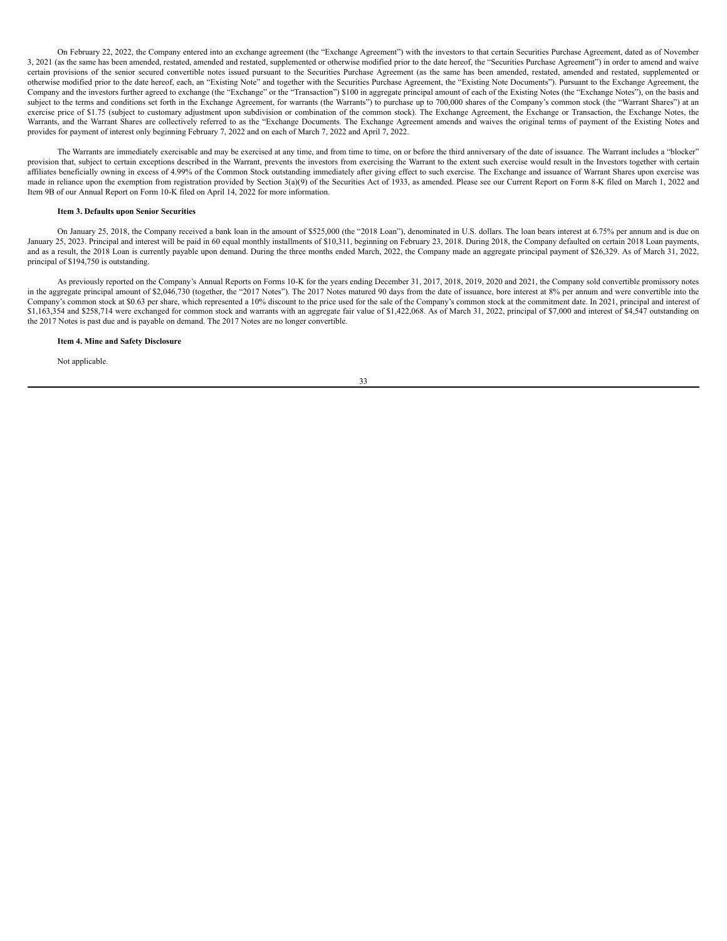On February 22, 2022, the Company entered into an exchange agreement (the "Exchange Agreement") with the investors to that certain Securities Purchase Agreement, dated as of November 3, 2021 (as the same has been amended, restated, amended and restated, supplemented or otherwise modified prior to the date hereof, the "Securities Purchase Agreement") in order to amend and waive certain provisions of the senior secured convertible notes issued pursuant to the Securities Purchase Agreement (as the same has been amended, restated, amended and restated, supplemented or otherwise modified prior to the date hereof, each, an "Existing Note" and together with the Securities Purchase Agreement, the "Existing Note Documents"). Pursuant to the Exchange Agreement, the Company and the investors further agreed to exchange (the "Exchange" or the "Transaction") \$100 in aggregate principal amount of each of the Existing Notes (the "Exchange Notes"), on the basis and subject to the terms and conditions set forth in the Exchange Agreement, for warrants (the Warrants") to purchase up to 700,000 shares of the Company's common stock (the "Warrant Shares") at an exercise price of \$1.75 (subject to customary adjustment upon subdivision or combination of the common stock). The Exchange Agreement, the Exchange or Transaction, the Exchange Notes, the Warrants, and the Warrant Shares are collectively referred to as the "Exchange Documents. The Exchange Agreement amends and waives the original terms of payment of the Existing Notes and provides for payment of interest only beginning February 7, 2022 and on each of March 7, 2022 and April 7, 2022.

The Warrants are immediately exercisable and may be exercised at any time, and from time to time, on or before the third anniversary of the date of issuance. The Warrant includes a "blocker" provision that, subject to certain exceptions described in the Warrant, prevents the investors from exercising the Warrant to the extent such exercise would result in the Investors together with certain affiliates beneficially owning in excess of 4.99% of the Common Stock outstanding immediately after giving effect to such exercise. The Exchange and issuance of Warrant Shares upon exercise was made in reliance upon the exemption from registration provided by Section 3(a)(9) of the Securities Act of 1933, as amended. Please see our Current Report on Form 8-K filed on March 1, 2022 and Item 9B of our Annual Report on Form 10-K filed on April 14, 2022 for more information.

#### **Item 3. Defaults upon Senior Securities**

<span id="page-34-0"></span>On January 25, 2018, the Company received a bank loan in the amount of \$525,000 (the "2018 Loan"), denominated in U.S. dollars. The loan bears interest at 6.75% per annum and is due on January 25, 2023. Principal and interest will be paid in 60 equal monthly installments of \$10,311, beginning on February 23, 2018. During 2018, the Company defaulted on certain 2018 Loan payments, and as a result, the 2018 Loan is currently payable upon demand. During the three months ended March, 2022, the Company made an aggregate principal payment of \$26,329. As of March 31, 2022, principal of \$194,750 is outstanding.

As previously reported on the Company's Annual Reports on Forms 10-K for the years ending December 31, 2017, 2018, 2019, 2020 and 2021, the Company sold convertible promissory notes in the aggregate principal amount of \$2,046,730 (together, the "2017 Notes"). The 2017 Notes matured 90 days from the date of issuance, bore interest at 8% per annum and were convertible into the Company's common stock at \$0.63 per share, which represented a 10% discount to the price used for the sale of the Company's common stock at the commitment date. In 2021, principal and interest of \$1,163,354 and \$258,714 were exchanged for common stock and warrants with an aggregate fair value of \$1,422,068. As of March 31, 2022, principal of \$7,000 and interest of \$4,547 outstanding on the 2017 Notes is past due and is payable on demand. The 2017 Notes are no longer convertible.

### <span id="page-34-1"></span>**Item 4. Mine and Safety Disclosure**

Not applicable.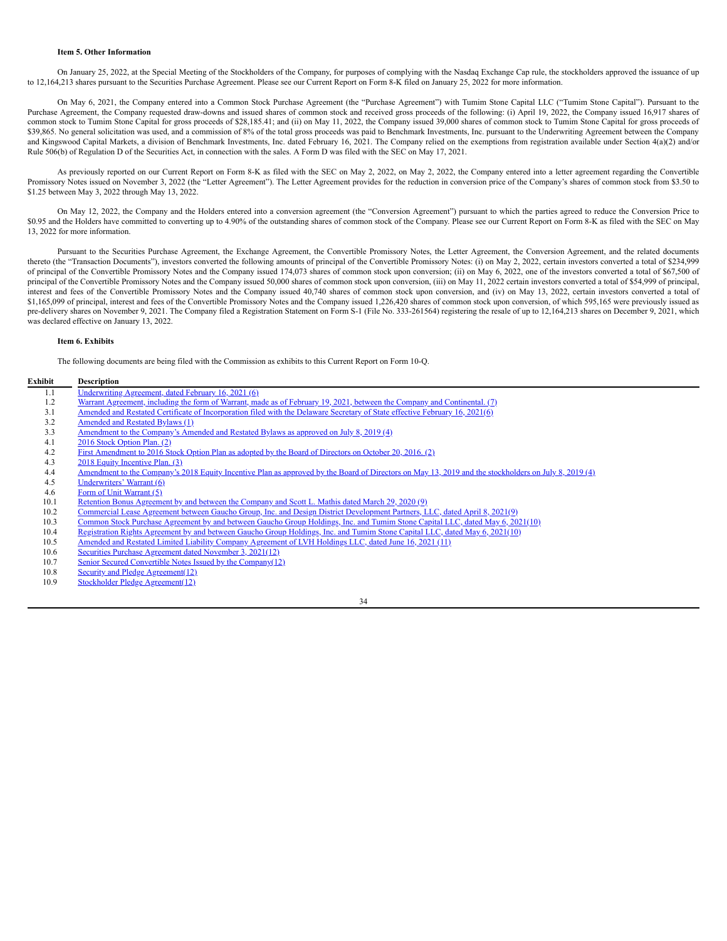#### **Item 5. Other Information**

<span id="page-35-0"></span>On January 25, 2022, at the Special Meeting of the Stockholders of the Company, for purposes of complying with the Nasdaq Exchange Cap rule, the stockholders approved the issuance of up to 12,164,213 shares pursuant to the Securities Purchase Agreement. Please see our Current Report on Form 8-K filed on January 25, 2022 for more information.

On May 6, 2021, the Company entered into a Common Stock Purchase Agreement (the "Purchase Agreement") with Tumim Stone Capital LLC ("Tumim Stone Capital"). Pursuant to the Purchase Agreement, the Company requested draw-downs and issued shares of common stock and received gross proceeds of the following: (i) April 19, 2022, the Company issued 16,917 shares of common stock to Tumim Stone Capital for gross proceeds of \$28,185.41; and (ii) on May 11, 2022, the Company issued 39,000 shares of common stock to Tumim Stone Capital for gross proceeds of \$39,865. No general solicitation was used, and a commission of 8% of the total gross proceeds was paid to Benchmark Investments, Inc. pursuant to the Underwriting Agreement between the Company and Kingswood Capital Markets, a division of Benchmark Investments, Inc. dated February 16, 2021. The Company relied on the exemptions from registration available under Section 4(a)(2) and/or Rule 506(b) of Regulation D of the Securities Act, in connection with the sales. A Form D was filed with the SEC on May 17, 2021.

As previously reported on our Current Report on Form 8-K as filed with the SEC on May 2, 2022, on May 2, 2022, the Company entered into a letter agreement regarding the Convertible Promissory Notes issued on November 3, 2022 (the "Letter Agreement"). The Letter Agreement provides for the reduction in conversion price of the Company's shares of common stock from \$3.50 to \$1.25 between May 3, 2022 through May 13, 2022.

On May 12, 2022, the Company and the Holders entered into a conversion agreement (the "Conversion Agreement") pursuant to which the parties agreed to reduce the Conversion Price to \$0.95 and the Holders have committed to converting up to 4.90% of the outstanding shares of common stock of the Company. Please see our Current Report on Form 8-K as filed with the SEC on May 13, 2022 for more information.

Pursuant to the Securities Purchase Agreement, the Exchange Agreement, the Convertible Promissory Notes, the Letter Agreement, the Conversion Agreement, and the related documents thereto (the "Transaction Documents"), investors converted the following amounts of principal of the Convertible Promissory Notes: (i) on May 2, 2022, certain investors converted a total of \$234,999 of principal of the Convertible Promissory Notes and the Company issued 174,073 shares of common stock upon conversion; (ii) on May 6, 2022, one of the investors converted a total of \$67,500 of principal of the Convertible Promissory Notes and the Company issued 50,000 shares of common stock upon conversion, (iii) on May 11, 2022 certain investors converted a total of \$54,999 of principal, interest and fees of the Convertible Promissory Notes and the Company issued 40,740 shares of common stock upon conversion, and (iv) on May 13, 2022, certain investors converted a total of \$1,165,099 of principal, interest and fees of the Convertible Promissory Notes and the Company issued 1,226,420 shares of common stock upon conversion, of which 595,165 were previously issued as pre-delivery shares on November 9, 2021. The Company filed a Registration Statement on Form S-1 (File No. 333-261564) registering the resale of up to 12,164,213 shares on December 9, 2021, which was declared effective on January 13, 2022.

### <span id="page-35-1"></span>**Item 6. Exhibits**

The following documents are being filed with the Commission as exhibits to this Current Report on Form 10-Q.

| Exhibit | <b>Description</b>                                                                                                                                   |
|---------|------------------------------------------------------------------------------------------------------------------------------------------------------|
| 1.1     | Underwriting Agreement, dated February 16, 2021 (6)                                                                                                  |
| 1.2     | Warrant Agreement, including the form of Warrant, made as of February 19, 2021, between the Company and Continental. (7)                             |
| 3.1     | Amended and Restated Certificate of Incorporation filed with the Delaware Secretary of State effective February 16, 2021(6)                          |
| 3.2     | Amended and Restated Bylaws (1)                                                                                                                      |
| 3.3     | Amendment to the Company's Amended and Restated Bylaws as approved on July 8, 2019 (4)                                                               |
| 4.1     | 2016 Stock Option Plan. (2)                                                                                                                          |
| 4.2     | First Amendment to 2016 Stock Option Plan as adopted by the Board of Directors on October 20, 2016. (2)                                              |
| 4.3     | 2018 Equity Incentive Plan. (3)                                                                                                                      |
| 4.4     | Amendment to the Company's 2018 Equity Incentive Plan as approved by the Board of Directors on May 13, 2019 and the stockholders on July 8, 2019 (4) |
| 4.5     | Underwriters' Warrant (6)                                                                                                                            |
| 4.6     | Form of Unit Warrant (5)                                                                                                                             |
| 10.1    | Retention Bonus Agreement by and between the Company and Scott L. Mathis dated March 29, 2020 (9)                                                    |
| 10.2    | Commercial Lease Agreement between Gaucho Group, Inc. and Design District Development Partners, LLC, dated April 8, 2021(9)                          |
| 10.3    | Common Stock Purchase Agreement by and between Gaucho Group Holdings, Inc. and Tumim Stone Capital LLC, dated May 6, 2021(10)                        |
| 10.4    | Registration Rights Agreement by and between Gaucho Group Holdings, Inc. and Tumim Stone Capital LLC, dated May 6, 2021(10)                          |
| 10.5    | Amended and Restated Limited Liability Company Agreement of LVH Holdings LLC, dated June 16, 2021 (11)                                               |
| 10.6    | Securities Purchase Agreement dated November 3, 2021(12)                                                                                             |
| 10.7    | Senior Secured Convertible Notes Issued by the Company(12)                                                                                           |
| 10.8    | Security and Pledge Agreement(12)                                                                                                                    |
| 10.9    | Stockholder Pledge Agreement(12)                                                                                                                     |
|         |                                                                                                                                                      |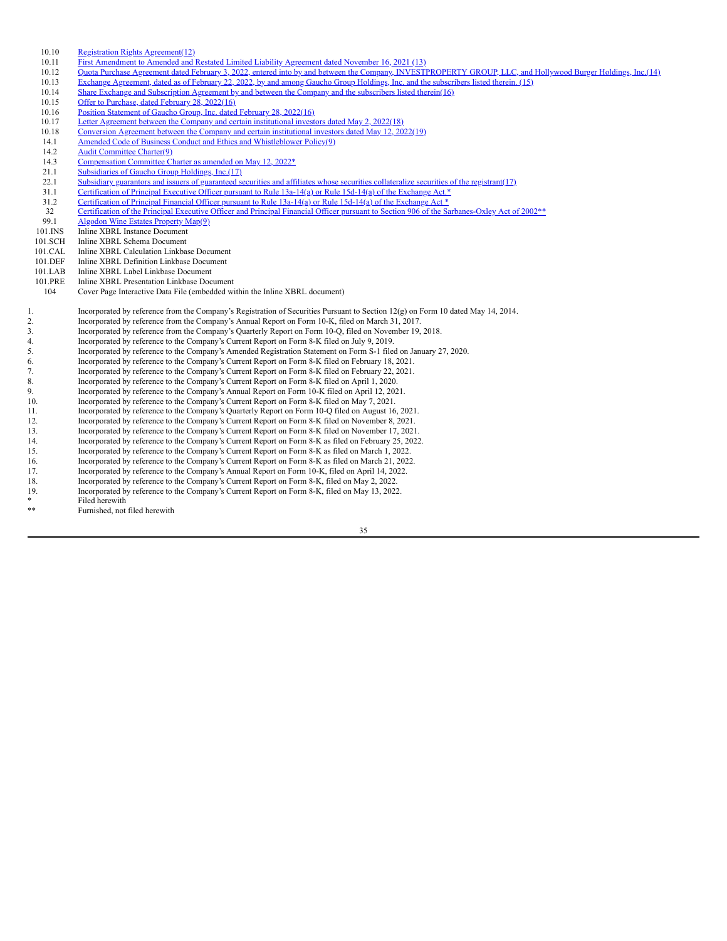- 10.10 Registration Rights [Agreement\(12\)](https://www.sec.gov/Archives/edgar/data/1559998/000149315221027521/ex10-5.htm)
- 10.11 First [Amendment](https://www.sec.gov/Archives/edgar/data/1559998/000149315221029094/ex10-1.htm) to Amended and Restated Limited Liability Agreement dated November 16, 2021 (13)
- 10.12 Quota Purchase Agreement dated February 3, 2022, entered into by and between the Company, [INVESTPROPERTY](https://www.sec.gov/Archives/edgar/data/1559998/000149315222005534/ex10-1.htm) GROUP, LLC, and Hollywood Burger Holdings, Inc.(14)
- 10.13 Exchange [Agreement,](https://www.sec.gov/Archives/edgar/data/1559998/000149315222005725/ex10-1.htm) dated as of February 22, 2022, by and among Gaucho Group Holdings, Inc. and the subscribers listed therein. (15)<br>10.14 Share Exchange and Subscription Agreement by and between the Company and the
- $\frac{1}{10}$  Share Exchange and [Subscription](https://www.sec.gov/Archives/edgar/data/1559998/000149315222007311/ex10-1.htm) Agreement by and between the Company and the subscribers listed therein(16)
- 10.15 Offer to [Purchase,](https://www.sec.gov/Archives/edgar/data/1559998/000149315222007311/ex10-2.htm) dated February 28, 2022(16)
- 10.16 Position [Statement](https://www.sec.gov/Archives/edgar/data/1559998/000149315222007311/ex10-3.htm) of Gaucho Group, Inc. dated February 28, 2022(16)
- 10.17 Letter Agreement between the Company and certain [institutional](https://www.sec.gov/Archives/edgar/data/1559998/000149315222011710/ex10-1.htm) investors dated May 2, 2022(18)<br>10.18 Conversion Agreement between the Company and certain institutional investors dated May 12, 20
- 10.18 Conversion Agreement between the Company and certain [institutional](https://www.sec.gov/Archives/edgar/data/1559998/000149315222013191/ex10-1.htm) investors dated May 12, 2022(19)<br>14.1 Amended Code of Business Conduct and Ethics and Whistleblower Policy(9)
- Amended Code of Business Conduct and Ethics and [Whistleblower](https://www.sec.gov/Archives/edgar/data/1559998/000149315221008578/ex14-1.htm) Policy(9)
- 14.2 Audit [Committee](https://www.sec.gov/Archives/edgar/data/1559998/000149315221008578/ex14-2.htm) Charter(9)
- 14.3 [Compensation](https://s3.amazonaws.com/content.stockpr.com/sec/0001493152-22-013747/ex14-3.htm) Committee Charter as amended on May 12, 2022\*
- 21.1 [Subsidiaries](https://www.sec.gov/Archives/edgar/data/1559998/000149315222009892/ex21-1.htm) of Gaucho Group Holdings, Inc.(17)<br>22.1 Subsidiary guarantors and issuers of guaranteed se
- 22.1 Subsidiary guarantors and issuers of guaranteed securities and affiliates whose securities collateralize securities of the [registrant\(17\)](https://www.sec.gov/Archives/edgar/data/1559998/000149315222009892/ex22-1.htm)
- 31.1 [Certification](https://s3.amazonaws.com/content.stockpr.com/sec/0001493152-22-013747/ex31-1.htm) of Principal Executive Officer pursuant to Rule 13a-14(a) or Rule 15d-14(a) of the Exchange Act.<sup>\*</sup><br>31.2 Certification of Principal Financial Officer pursuant to Rule 13a-14(a) or Rule 15d-14(a) of the
- [Certification](https://s3.amazonaws.com/content.stockpr.com/sec/0001493152-22-013747/ex31-2.htm) of Principal Financial Officer pursuant to Rule 13a-14(a) or Rule 15d-14(a) of the Exchange Act  $*$
- 32 Certification of the Principal Executive Officer and Principal Financial Officer pursuant to Section 906 of the [Sarbanes-Oxley](https://s3.amazonaws.com/content.stockpr.com/sec/0001493152-22-013747/ex32.htm) Act of 2002<sup>\*\*</sup>
- 99.1 [Algodon](https://www.sec.gov/Archives/edgar/data/1559998/000149315221008578/ex99-1.htm) Wine Estates Property Map(9)
- 101.INS Inline XBRL Instance Document<br>101.SCH Inline XBRL Schema Document
- 101.SCH Inline XBRL Schema Document<br>101.CAL Inline XBRL Calculation Linkba
- Inline XBRL Calculation Linkbase Document
- 101.DEF Inline XBRL Definition Linkbase Document
- 101.LAB Inline XBRL Label Linkbase Document
- 101.PRE Inline XBRL Presentation Linkbase Document
- 104 Cover Page Interactive Data File (embedded within the Inline XBRL document)
- 1. Incorporated by reference from the Company's Registration of Securities Pursuant to Section 12(g) on Form 10 dated May 14, 2014.<br>2. Incorporated by reference from the Company's Quarterly Report on Form 10-Q, filed on No
	- 2. Incorporated by reference from the Company's Annual Report on Form 10-K, filed on March 31, 2017.
	- 3. Incorporated by reference from the Company's Quarterly Report on Form 10-Q, filed on November 19, 2018.
	-
- 4. Incorporated by reference to the Company's Current Report on Form 8-K filed on July 9, 2019. 5. Incorporated by reference to the Company's Amended Registration Statement on Form S-1 filed on January 27, 2020.
- 6. Incorporated by reference to the Company's Current Report on Form 8-K filed on February 18, 2021.
- 7. Incorporated by reference to the Company's Current Report on Form 8-K filed on February 22, 2021.
- 8. Incorporated by reference to the Company's Current Report on Form 8-K filed on April 1, 2020.
- 9. Incorporated by reference to the Company's Annual Report on Form 10-K filed on April 12, 2021.<br>10. Incorporated by reference to the Company's Current Report on Form 8-K filed on May 7, 2021.
- 10. Incorporated by reference to the Company's Current Report on Form 8-K filed on May 7, 2021.<br>11. Incorporated by reference to the Company's Quarterly Report on Form 10-Q filed on August 16
- 11. Incorporated by reference to the Company's Quarterly Report on Form 10-Q filed on August 16, 2021.
- 12. Incorporated by reference to the Company's Current Report on Form 8-K filed on November 8, 2021.
- 13. Incorporated by reference to the Company's Current Report on Form 8-K filed on November 17, 2021.
- 14. Incorporated by reference to the Company's Current Report on Form 8-K as filed on February 25, 2022.
- 15. Incorporated by reference to the Company's Current Report on Form 8-K as filed on March 1, 2022.
- 16. Incorporated by reference to the Company's Current Report on Form 8-K as filed on March 21, 2022.<br>17. Incorporated by reference to the Company's Annual Report on Form 10-K, filed on April 14, 2022.
- 17. Incorporated by reference to the Company's Annual Report on Form 10-K, filed on April 14, 2022.
- 18. Incorporated by reference to the Company's Current Report on Form 8-K, filed on May 2, 2022.
- 19. Incorporated by reference to the Company's Current Report on Form 8-K, filed on May 13, 2022.
- \* Filed herewith
- Furnished, not filed herewith

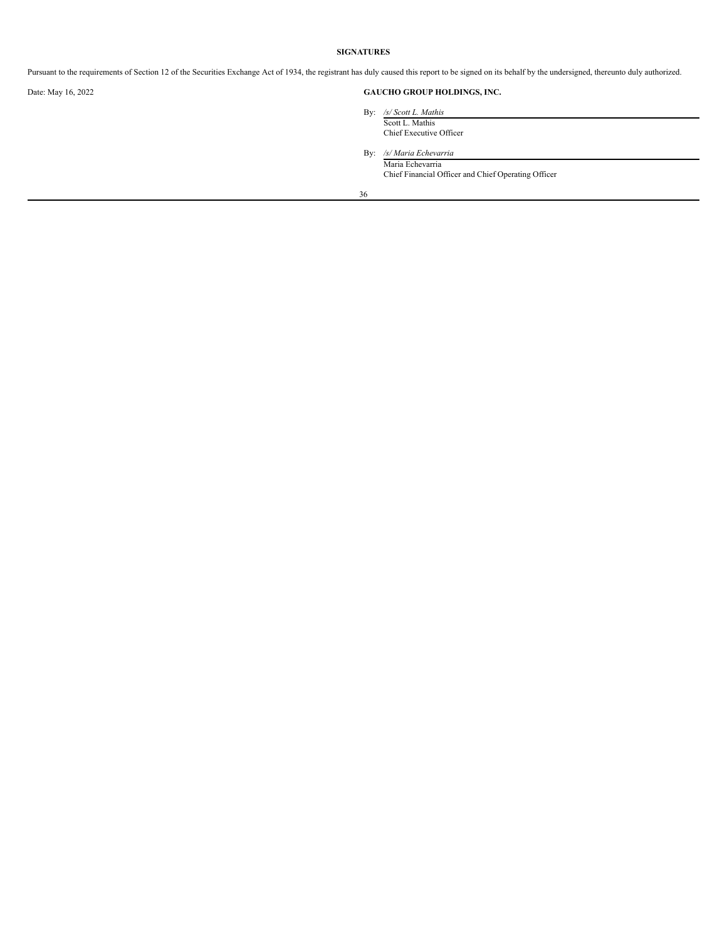## **SIGNATURES**

<span id="page-37-0"></span>Pursuant to the requirements of Section 12 of the Securities Exchange Act of 1934, the registrant has duly caused this report to be signed on its behalf by the undersigned, thereunto duly authorized.

## Date: May 16, 2022 **GAUCHO GROUP HOLDINGS, INC.**

| By: $\frac{s}{S\cot t}$ L. Mathis |  |
|-----------------------------------|--|
|-----------------------------------|--|

Scott L. Mathis Chief Executive Officer

By: */s/ Maria Echevarria*

Maria Echevarria Chief Financial Officer and Chief Operating Officer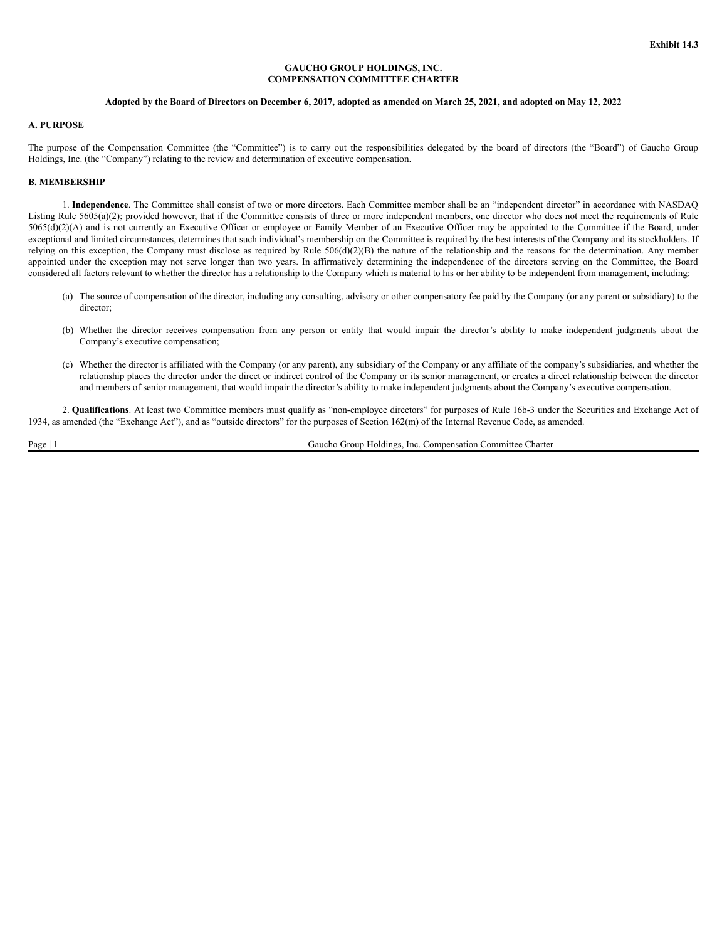### **GAUCHO GROUP HOLDINGS, INC. COMPENSATION COMMITTEE CHARTER**

### Adopted by the Board of Directors on December 6, 2017, adopted as amended on March 25, 2021, and adopted on May 12, 2022

### **A. PURPOSE**

The purpose of the Compensation Committee (the "Committee") is to carry out the responsibilities delegated by the board of directors (the "Board") of Gaucho Group Holdings, Inc. (the "Company") relating to the review and determination of executive compensation.

## **B. MEMBERSHIP**

1. **Independence**. The Committee shall consist of two or more directors. Each Committee member shall be an "independent director" in accordance with NASDAQ Listing Rule 5605(a)(2); provided however, that if the Committee consists of three or more independent members, one director who does not meet the requirements of Rule 5065(d)(2)(A) and is not currently an Executive Officer or employee or Family Member of an Executive Officer may be appointed to the Committee if the Board, under exceptional and limited circumstances, determines that such individual's membership on the Committee is required by the best interests of the Company and its stockholders. If relying on this exception, the Company must disclose as required by Rule 506(d)(2)(B) the nature of the relationship and the reasons for the determination. Any member appointed under the exception may not serve longer than two years. In affirmatively determining the independence of the directors serving on the Committee, the Board considered all factors relevant to whether the director has a relationship to the Company which is material to his or her ability to be independent from management, including:

- (a) The source of compensation of the director, including any consulting, advisory or other compensatory fee paid by the Company (or any parent or subsidiary) to the director;
- (b) Whether the director receives compensation from any person or entity that would impair the director's ability to make independent judgments about the Company's executive compensation;
- (c) Whether the director is affiliated with the Company (or any parent), any subsidiary of the Company or any affiliate of the company's subsidiaries, and whether the relationship places the director under the direct or indirect control of the Company or its senior management, or creates a direct relationship between the director and members of senior management, that would impair the director's ability to make independent judgments about the Company's executive compensation.

2. **Qualifications**. At least two Committee members must qualify as "non-employee directors" for purposes of Rule 16b-3 under the Securities and Exchange Act of 1934, as amended (the "Exchange Act"), and as "outside directors" for the purposes of Section 162(m) of the Internal Revenue Code, as amended.

Page | 1 Gaucho Group Holdings, Inc. Compensation Committee Charter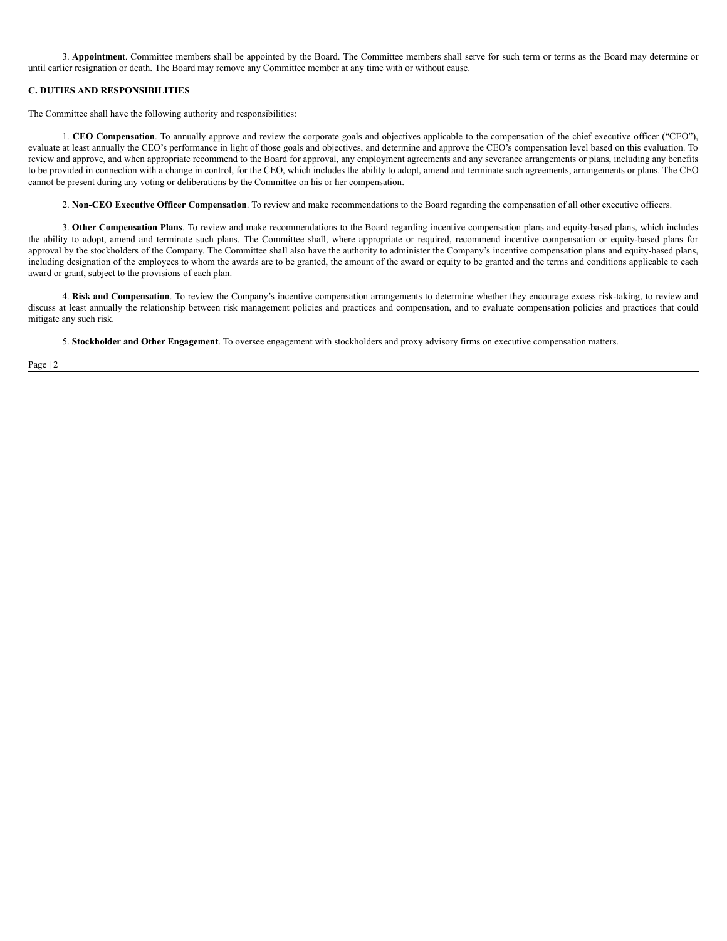3. **Appointmen**t. Committee members shall be appointed by the Board. The Committee members shall serve for such term or terms as the Board may determine or until earlier resignation or death. The Board may remove any Committee member at any time with or without cause.

## **C. DUTIES AND RESPONSIBILITIES**

The Committee shall have the following authority and responsibilities:

1. **CEO Compensation**. To annually approve and review the corporate goals and objectives applicable to the compensation of the chief executive officer ("CEO"), evaluate at least annually the CEO's performance in light of those goals and objectives, and determine and approve the CEO's compensation level based on this evaluation. To review and approve, and when appropriate recommend to the Board for approval, any employment agreements and any severance arrangements or plans, including any benefits to be provided in connection with a change in control, for the CEO, which includes the ability to adopt, amend and terminate such agreements, arrangements or plans. The CEO cannot be present during any voting or deliberations by the Committee on his or her compensation.

2. **Non-CEO Executive Officer Compensation**. To review and make recommendations to the Board regarding the compensation of all other executive officers.

3. **Other Compensation Plans**. To review and make recommendations to the Board regarding incentive compensation plans and equity-based plans, which includes the ability to adopt, amend and terminate such plans. The Committee shall, where appropriate or required, recommend incentive compensation or equity-based plans for approval by the stockholders of the Company. The Committee shall also have the authority to administer the Company's incentive compensation plans and equity-based plans, including designation of the employees to whom the awards are to be granted, the amount of the award or equity to be granted and the terms and conditions applicable to each award or grant, subject to the provisions of each plan.

4. **Risk and Compensation**. To review the Company's incentive compensation arrangements to determine whether they encourage excess risk-taking, to review and discuss at least annually the relationship between risk management policies and practices and compensation, and to evaluate compensation policies and practices that could mitigate any such risk.

5. **Stockholder and Other Engagement**. To oversee engagement with stockholders and proxy advisory firms on executive compensation matters.

Page | 2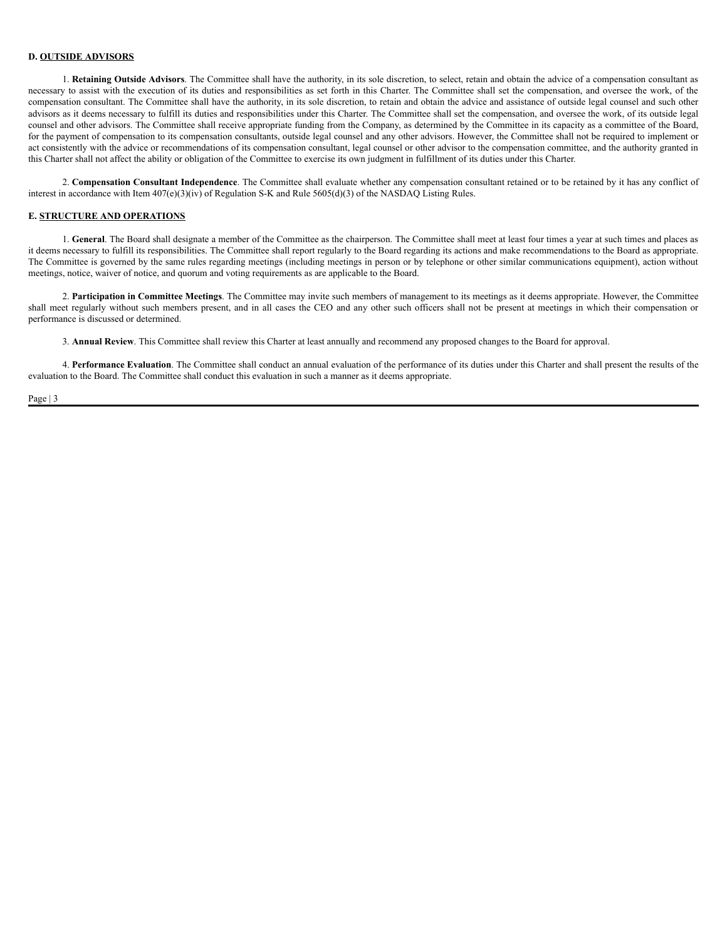### **D. OUTSIDE ADVISORS**

1. **Retaining Outside Advisors**. The Committee shall have the authority, in its sole discretion, to select, retain and obtain the advice of a compensation consultant as necessary to assist with the execution of its duties and responsibilities as set forth in this Charter. The Committee shall set the compensation, and oversee the work, of the compensation consultant. The Committee shall have the authority, in its sole discretion, to retain and obtain the advice and assistance of outside legal counsel and such other advisors as it deems necessary to fulfill its duties and responsibilities under this Charter. The Committee shall set the compensation, and oversee the work, of its outside legal counsel and other advisors. The Committee shall receive appropriate funding from the Company, as determined by the Committee in its capacity as a committee of the Board, for the payment of compensation to its compensation consultants, outside legal counsel and any other advisors. However, the Committee shall not be required to implement or act consistently with the advice or recommendations of its compensation consultant, legal counsel or other advisor to the compensation committee, and the authority granted in this Charter shall not affect the ability or obligation of the Committee to exercise its own judgment in fulfillment of its duties under this Charter.

2. **Compensation Consultant Independence**. The Committee shall evaluate whether any compensation consultant retained or to be retained by it has any conflict of interest in accordance with Item 407(e)(3)(iv) of Regulation S-K and Rule 5605(d)(3) of the NASDAQ Listing Rules.

### **E. STRUCTURE AND OPERATIONS**

1. **General**. The Board shall designate a member of the Committee as the chairperson. The Committee shall meet at least four times a year at such times and places as it deems necessary to fulfill its responsibilities. The Committee shall report regularly to the Board regarding its actions and make recommendations to the Board as appropriate. The Committee is governed by the same rules regarding meetings (including meetings in person or by telephone or other similar communications equipment), action without meetings, notice, waiver of notice, and quorum and voting requirements as are applicable to the Board.

2. **Participation in Committee Meetings**. The Committee may invite such members of management to its meetings as it deems appropriate. However, the Committee shall meet regularly without such members present, and in all cases the CEO and any other such officers shall not be present at meetings in which their compensation or performance is discussed or determined.

3. **Annual Review**. This Committee shall review this Charter at least annually and recommend any proposed changes to the Board for approval.

4. **Performance Evaluation**. The Committee shall conduct an annual evaluation of the performance of its duties under this Charter and shall present the results of the evaluation to the Board. The Committee shall conduct this evaluation in such a manner as it deems appropriate.

Page | 3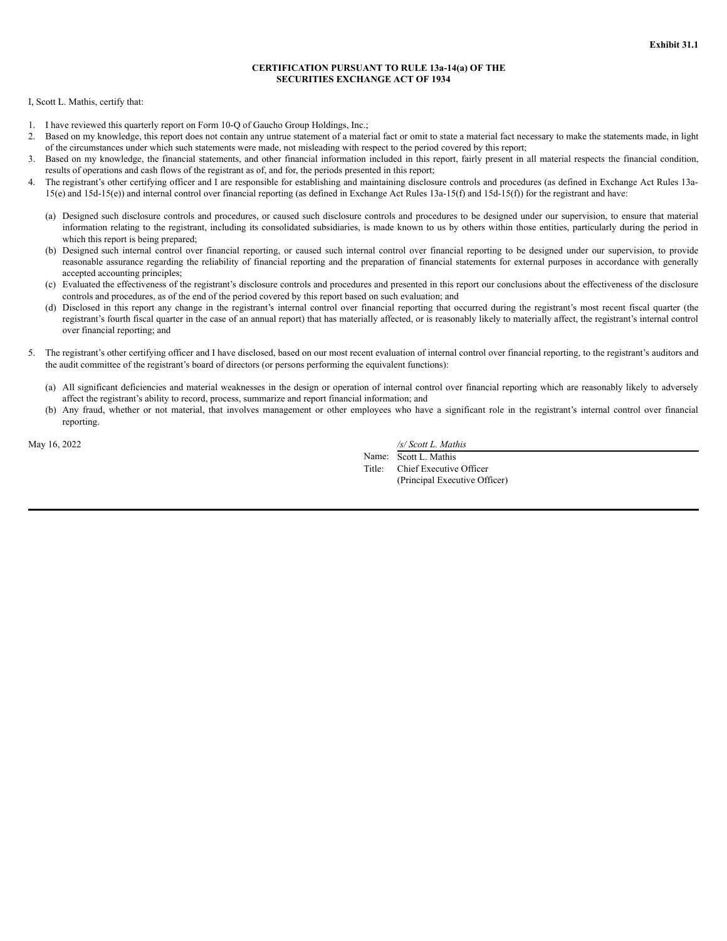### **CERTIFICATION PURSUANT TO RULE 13a-14(a) OF THE SECURITIES EXCHANGE ACT OF 1934**

I, Scott L. Mathis, certify that:

- 1. I have reviewed this quarterly report on Form 10-Q of Gaucho Group Holdings, Inc.;
- 2. Based on my knowledge, this report does not contain any untrue statement of a material fact or omit to state a material fact necessary to make the statements made, in light of the circumstances under which such statements were made, not misleading with respect to the period covered by this report;
- 3. Based on my knowledge, the financial statements, and other financial information included in this report, fairly present in all material respects the financial condition, results of operations and cash flows of the registrant as of, and for, the periods presented in this report;
- The registrant's other certifying officer and I are responsible for establishing and maintaining disclosure controls and procedures (as defined in Exchange Act Rules 13a- $15(e)$  and  $15d-15(e)$  and internal control over financial reporting (as defined in Exchange Act Rules  $13a-15(f)$  and  $15d-15(f)$ ) for the registrant and have:
	- (a) Designed such disclosure controls and procedures, or caused such disclosure controls and procedures to be designed under our supervision, to ensure that material information relating to the registrant, including its consolidated subsidiaries, is made known to us by others within those entities, particularly during the period in which this report is being prepared:
	- (b) Designed such internal control over financial reporting, or caused such internal control over financial reporting to be designed under our supervision, to provide reasonable assurance regarding the reliability of financial reporting and the preparation of financial statements for external purposes in accordance with generally accepted accounting principles;
	- (c) Evaluated the effectiveness of the registrant's disclosure controls and procedures and presented in this report our conclusions about the effectiveness of the disclosure controls and procedures, as of the end of the period covered by this report based on such evaluation; and
	- (d) Disclosed in this report any change in the registrant's internal control over financial reporting that occurred during the registrant's most recent fiscal quarter (the registrant's fourth fiscal quarter in the case of an annual report) that has materially affected, or is reasonably likely to materially affect, the registrant's internal control over financial reporting; and
- 5. The registrant's other certifying officer and I have disclosed, based on our most recent evaluation of internal control over financial reporting, to the registrant's auditors and the audit committee of the registrant's board of directors (or persons performing the equivalent functions):
	- (a) All significant deficiencies and material weaknesses in the design or operation of internal control over financial reporting which are reasonably likely to adversely affect the registrant's ability to record, process, summarize and report financial information; and
	- (b) Any fraud, whether or not material, that involves management or other employees who have a significant role in the registrant's internal control over financial reporting.

May 16, 2022 */s/ Scott L. Mathis*

Name: Scott L. Mathis Title: Chief Executive Officer (Principal Executive Officer)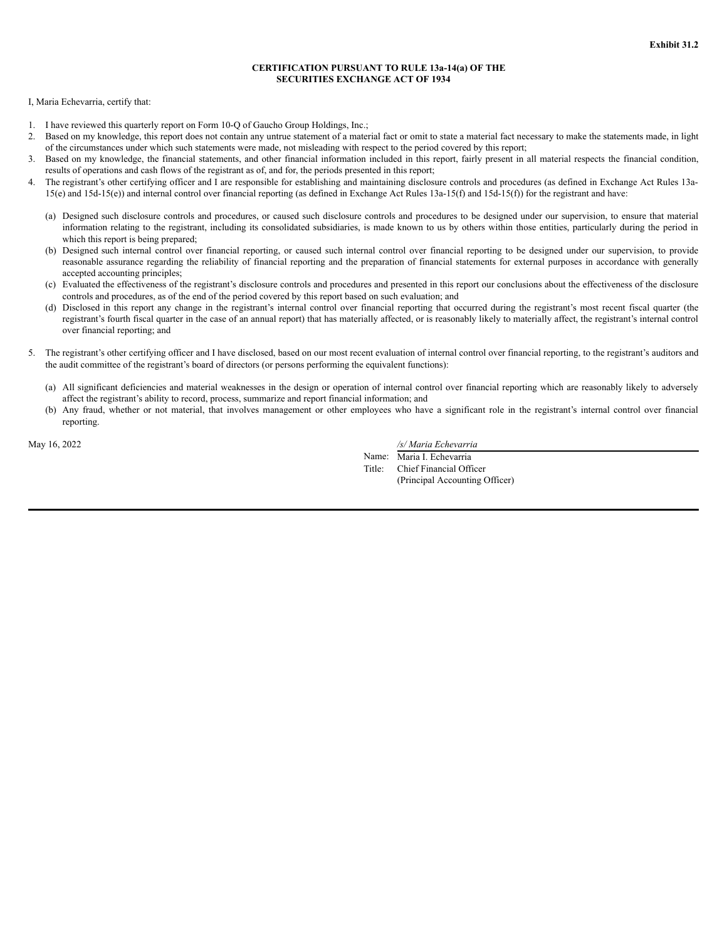### **CERTIFICATION PURSUANT TO RULE 13a-14(a) OF THE SECURITIES EXCHANGE ACT OF 1934**

I, Maria Echevarria, certify that:

- 1. I have reviewed this quarterly report on Form 10-Q of Gaucho Group Holdings, Inc.;
- 2. Based on my knowledge, this report does not contain any untrue statement of a material fact or omit to state a material fact necessary to make the statements made, in light of the circumstances under which such statements were made, not misleading with respect to the period covered by this report;
- 3. Based on my knowledge, the financial statements, and other financial information included in this report, fairly present in all material respects the financial condition, results of operations and cash flows of the registrant as of, and for, the periods presented in this report;
- The registrant's other certifying officer and I are responsible for establishing and maintaining disclosure controls and procedures (as defined in Exchange Act Rules 13a- $15(e)$  and  $15d-15(e)$  and internal control over financial reporting (as defined in Exchange Act Rules  $13a-15(f)$  and  $15d-15(f)$ ) for the registrant and have:
	- (a) Designed such disclosure controls and procedures, or caused such disclosure controls and procedures to be designed under our supervision, to ensure that material information relating to the registrant, including its consolidated subsidiaries, is made known to us by others within those entities, particularly during the period in which this report is being prepared:
	- (b) Designed such internal control over financial reporting, or caused such internal control over financial reporting to be designed under our supervision, to provide reasonable assurance regarding the reliability of financial reporting and the preparation of financial statements for external purposes in accordance with generally accepted accounting principles;
	- (c) Evaluated the effectiveness of the registrant's disclosure controls and procedures and presented in this report our conclusions about the effectiveness of the disclosure controls and procedures, as of the end of the period covered by this report based on such evaluation; and
	- (d) Disclosed in this report any change in the registrant's internal control over financial reporting that occurred during the registrant's most recent fiscal quarter (the registrant's fourth fiscal quarter in the case of an annual report) that has materially affected, or is reasonably likely to materially affect, the registrant's internal control over financial reporting; and
- 5. The registrant's other certifying officer and I have disclosed, based on our most recent evaluation of internal control over financial reporting, to the registrant's auditors and the audit committee of the registrant's board of directors (or persons performing the equivalent functions):
	- (a) All significant deficiencies and material weaknesses in the design or operation of internal control over financial reporting which are reasonably likely to adversely affect the registrant's ability to record, process, summarize and report financial information; and
	- (b) Any fraud, whether or not material, that involves management or other employees who have a significant role in the registrant's internal control over financial reporting.

May 16, 2022 */s/ Maria Echevarria*

Name: Maria I. Echevarria Title: Chief Financial Officer (Principal Accounting Officer)